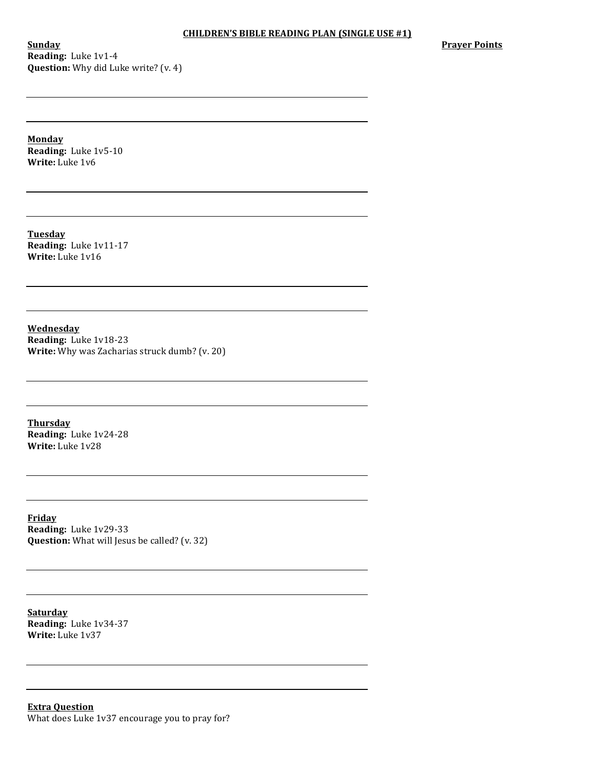## CHILDREN'S BIBLE READING PLAN (SINGLE USE #1)

**Sunday Reading:** Luke 1v1-4 **Question:** Why did Luke write? (v. 4) **Prayer Points** 

**Monday Reading:** Luke 1v5-10 **Write:** Luke 1v6

**Tuesday Reading:** Luke 1v11-17 **Write:** Luke 1v16

**Wednesday Reading:** Luke 1v18-23 **Write:** Why was Zacharias struck dumb? (v. 20)

**Thursday Reading:** Luke 1v24-28 **Write:** Luke 1v28

**Friday Reading:** Luke 1v29-33 **Question:** What will Jesus be called? (v. 32)

**Saturday Reading:** Luke 1v34-37 **Write:** Luke 1v37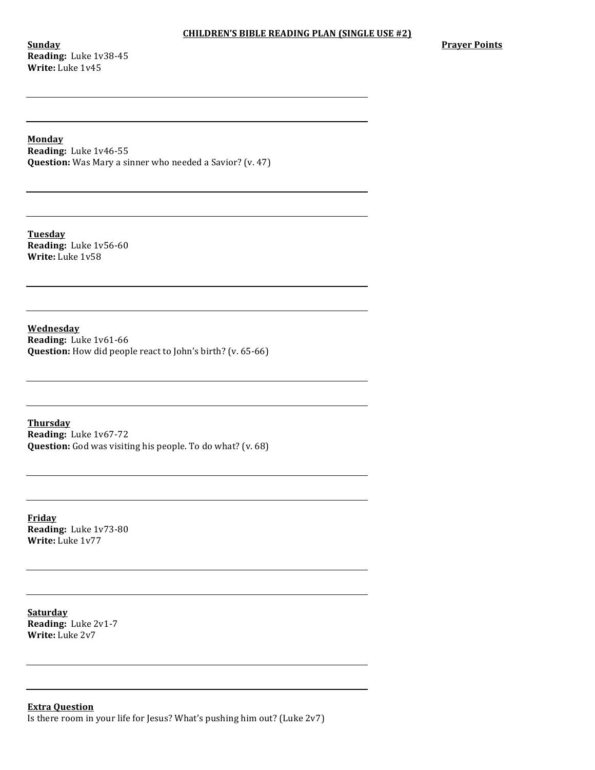**Sunday Reading:** Luke 1v38-45 **Write:** Luke 1v45

## **Monday**

**Reading:** Luke 1v46-55 **Question:** Was Mary a sinner who needed a Savior? (v. 47)

**Tuesday Reading:** Luke 1v56-60 **Write:** Luke 1v58

**Wednesday Reading:** Luke 1v61-66 **Question:** How did people react to John's birth? (v. 65-66)

**Thursday Reading:** Luke 1v67-72 **Question:** God was visiting his people. To do what? (v. 68)

**Friday Reading:** Luke 1v73-80 **Write:** Luke 1v77

**Saturday Reading:** Luke 2v1-7 **Write:** Luke 2v7

**Extra Question** Is there room in your life for Jesus? What's pushing him out? (Luke  $2v7$ )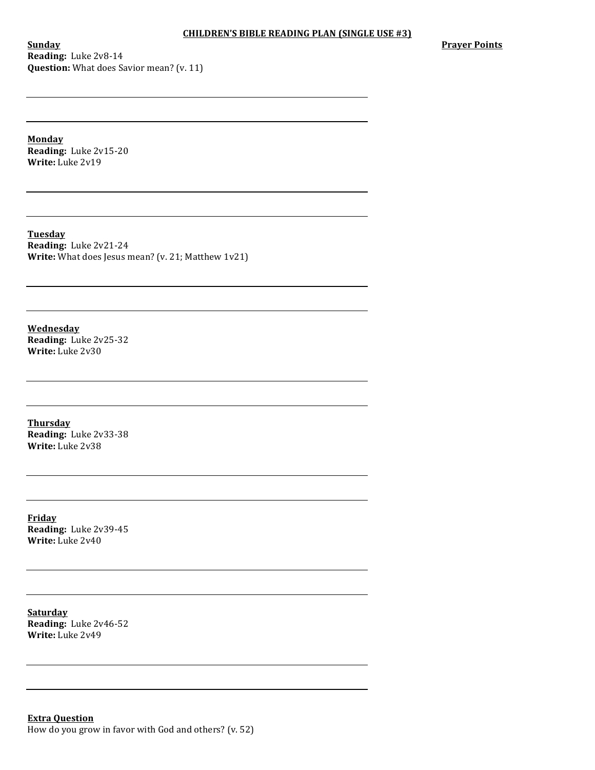## CHILDREN'S BIBLE READING PLAN (SINGLE USE #3)

**Sunday Reading:** Luke 2v8-14 **Question:** What does Savior mean? (v. 11) **Prayer Points** 

**Monday Reading:** Luke 2v15-20 **Write:** Luke 2v19

**Tuesday Reading:** Luke 2v21-24 **Write:** What does Jesus mean? (v. 21; Matthew 1v21)

**Wednesday Reading:** Luke 2v25-32 **Write:** Luke 2v30

**Thursday Reading:** Luke 2v33-38 **Write:** Luke 2v38

**Friday Reading:** Luke 2v39-45 **Write:** Luke 2v40

**Saturday Reading:** Luke 2v46-52 **Write:** Luke 2v49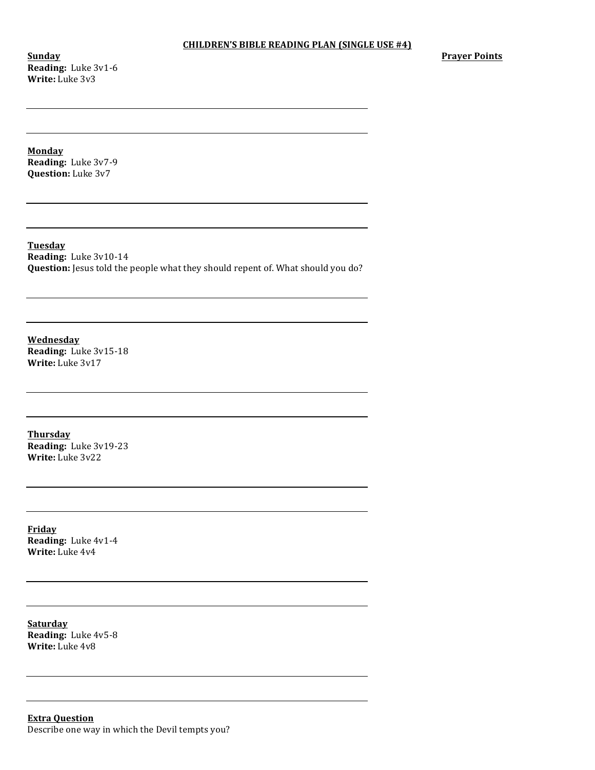**Sunday Reading:** Luke 3v1-6 **Write:** Luke 3v3

**Monday Reading:** Luke 3v7-9 **Question:** Luke 3v7

**Tuesday Reading:** Luke 3v10-14 **Question:** Jesus told the people what they should repent of. What should you do?

**Wednesday Reading:** Luke 3v15-18 **Write:** Luke 3v17

**Thursday Reading:** Luke 3v19-23 **Write:** Luke 3v22

**Friday Reading:** Luke 4v1-4 **Write:** Luke 4v4

**Saturday Reading:** Luke 4v5-8 **Write:** Luke 4v8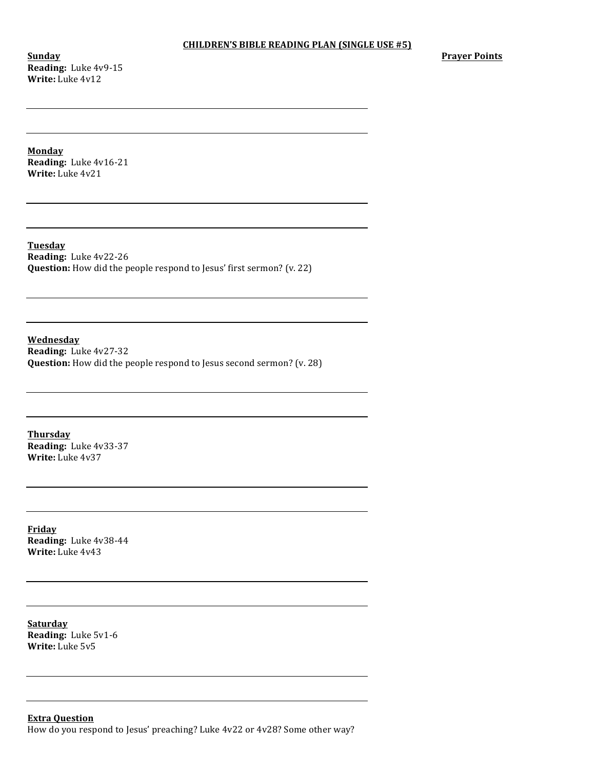**Sunday Reading:** Luke 4v9-15 **Write:** Luke 4v12

**Monday Reading:** Luke 4v16-21 **Write:** Luke 4v21

**Tuesday Reading:** Luke 4v22-26 **Question:** How did the people respond to Jesus' first sermon? (v. 22)

**Wednesday Reading:** Luke 4v27-32 **Question:** How did the people respond to Jesus second sermon? (v. 28)

**Thursday Reading:** Luke 4v33-37 **Write:** Luke 4v37

**Friday Reading:** Luke 4v38-44 **Write:** Luke 4v43

**Saturday Reading:** Luke 5v1-6 **Write:** Luke 5v5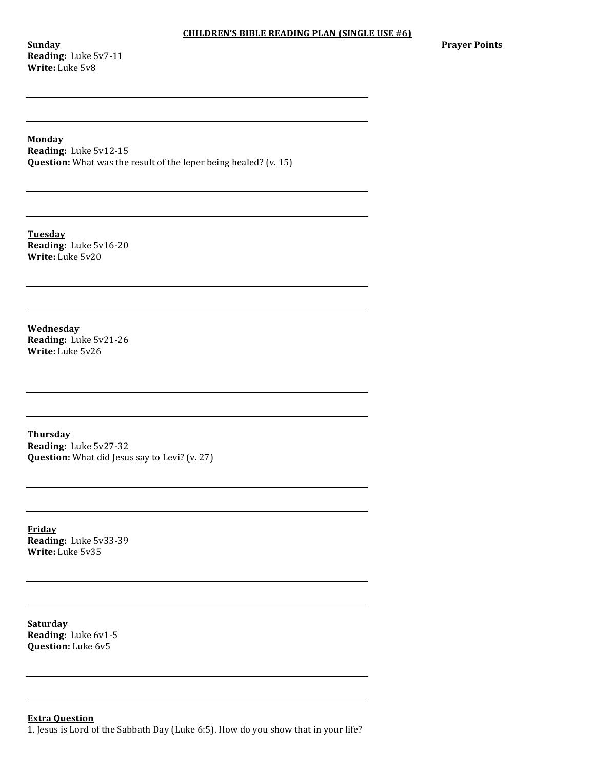**Sunday Reading:** Luke 5v7-11 **Write:** Luke 5v8

### **Monday**

**Reading:** Luke 5v12-15 **Question:** What was the result of the leper being healed? (v. 15)

**Tuesday Reading:** Luke 5v16-20 **Write:** Luke 5v20

**Wednesday Reading:** Luke 5v21-26 **Write:** Luke 5v26

**Thursday Reading:** Luke 5v27-32 **Question:** What did Jesus say to Levi? (v. 27)

**Friday Reading:** Luke 5v33-39 **Write:** Luke 5v35

**Saturday Reading:** Luke 6v1-5 **Question:** Luke 6v5

#### **Extra Question**

1. Jesus is Lord of the Sabbath Day (Luke 6:5). How do you show that in your life?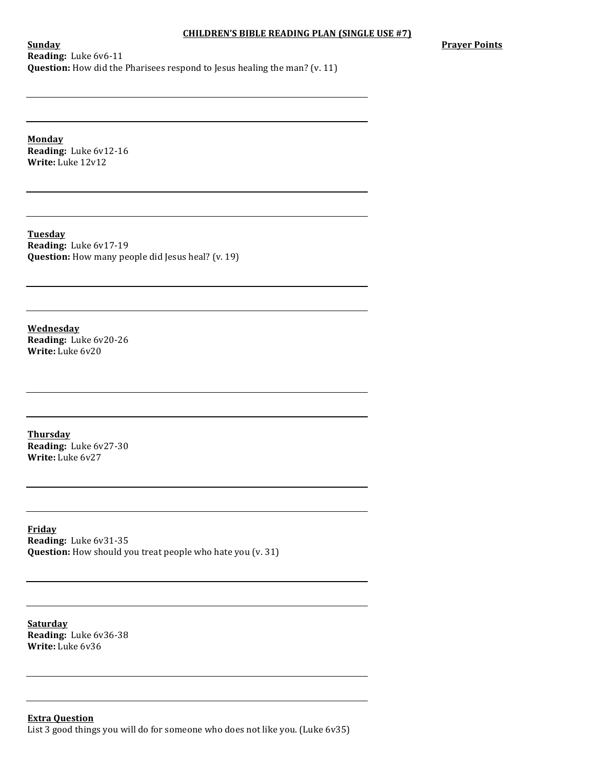## CHILDREN'S BIBLE READING PLAN (SINGLE USE #7)

**Prayer Points** 

**Sunday Reading:** Luke 6v6-11 **Question:** How did the Pharisees respond to Jesus healing the man? (v. 11)

**Monday Reading:** Luke 6v12-16 **Write:** Luke 12v12

**Tuesday Reading:** Luke 6v17-19 **Question:** How many people did Jesus heal? (v. 19)

**Wednesday Reading:** Luke 6v20-26 **Write:** Luke 6v20

**Thursday Reading:** Luke 6v27-30 **Write:** Luke 6v27

**Friday Reading:** Luke 6v31-35 **Question:** How should you treat people who hate you (v. 31)

**Saturday Reading:** Luke 6v36-38 **Write:** Luke 6v36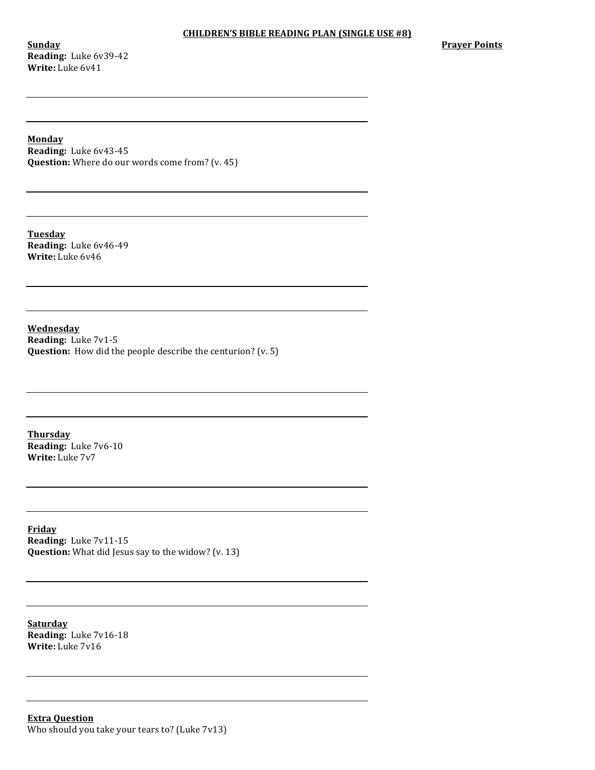**Sunday Reading:** Luke 6v39-42 **Write:** Luke 6v41

**Prayer Points** 

**Monday**

**Reading:** Luke 6v43-45 **Question:** Where do our words come from? (v. 45)

**Tuesday Reading:** Luke 6v46-49 **Write:** Luke 6v46

**Wednesday Reading:** Luke 7v1-5 **Question:** How did the people describe the centurion? (v. 5)

**Thursday Reading:** Luke 7v6-10 **Write:** Luke  $7v7$ 

**Friday Reading:** Luke 7v11-15 **Question:** What did Jesus say to the widow? (v. 13)

**Saturday Reading:** Luke 7v16-18 **Write:** Luke 7v16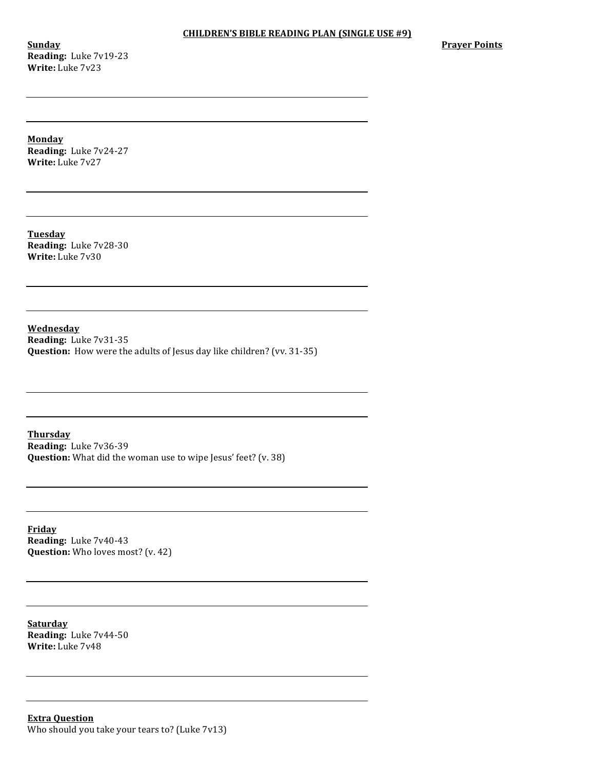**Sunday Reading:** Luke 7v19-23 **Write:** Luke 7v23

**Prayer Points** 

**Monday**

**Reading:** Luke 7v24-27 **Write:** Luke 7v27

**Tuesday Reading:** Luke 7v28-30 **Write:** Luke 7v30

**Wednesday Reading:** Luke 7v31-35 **Question:** How were the adults of Jesus day like children? (vv. 31-35)

**Thursday Reading:** Luke 7v36-39 **Question:** What did the woman use to wipe Jesus' feet? (v. 38)

**Friday Reading:** Luke 7v40-43 **Question:** Who loves most? (v. 42)

**Saturday Reading:** Luke 7v44-50 **Write:** Luke 7v48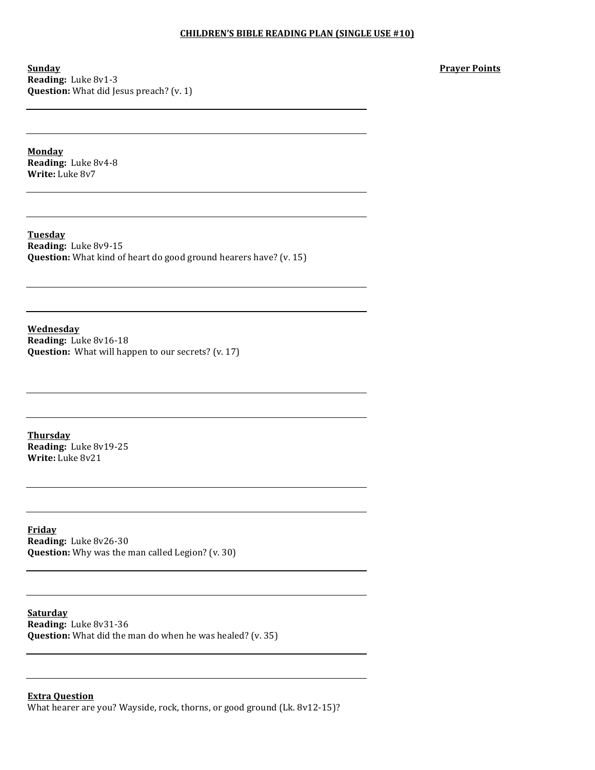**Sunday Reading:** Luke 8v1-3 **Question:** What did Jesus preach? (v. 1) **Prayer Points** 

**Monday Reading:** Luke 8v4-8 **Write:** Luke 8v7

**Tuesday Reading:** Luke 8v9-15 **Question:** What kind of heart do good ground hearers have? (v. 15)

**Wednesday Reading:** Luke 8v16-18 **Question:** What will happen to our secrets? (v. 17)

**Thursday Reading:** Luke 8v19-25 **Write:** Luke 8v21

**Friday Reading:** Luke 8v26-30 **Question:** Why was the man called Legion? (v. 30)

**Saturday Reading:** Luke 8v31-36 **Question:** What did the man do when he was healed? (v. 35)

# **Extra Question**

What hearer are you? Wayside, rock, thorns, or good ground (Lk. 8v12-15)?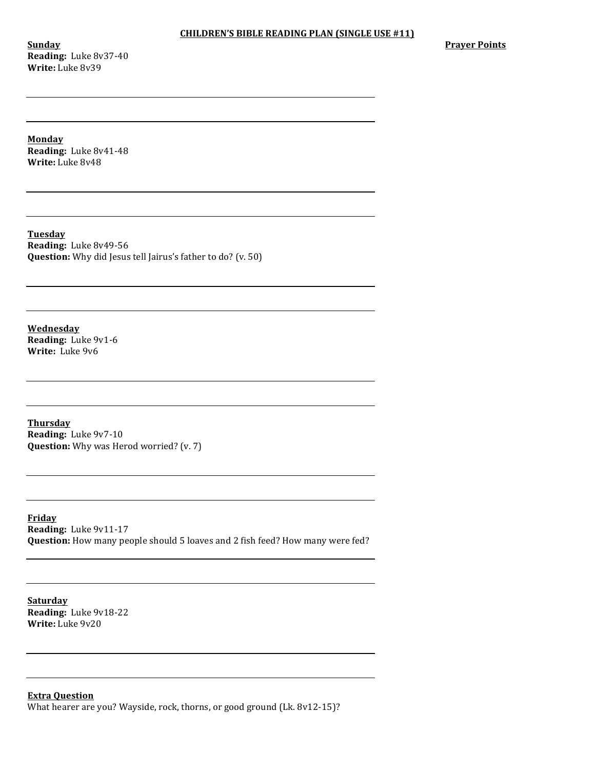**Sunday Reading:** Luke 8v37-40 **Write:** Luke 8v39

**Prayer Points** 

**Monday**

**Reading:** Luke 8v41-48 **Write:** Luke 8v48

**Tuesday Reading:** Luke 8v49-56 **Question:** Why did Jesus tell Jairus's father to do? (v. 50)

**Wednesday Reading:** Luke 9v1-6 **Write:** Luke 9v6

**Thursday Reading:** Luke 9v7-10 **Question:** Why was Herod worried? (v. 7)

**Friday Reading:** Luke 9v11-17 **Question:** How many people should 5 loaves and 2 fish feed? How many were fed?

**Saturday Reading:** Luke 9v18-22 **Write:** Luke  $9v20$ 

**Extra Question** What hearer are you? Wayside, rock, thorns, or good ground (Lk. 8v12-15)?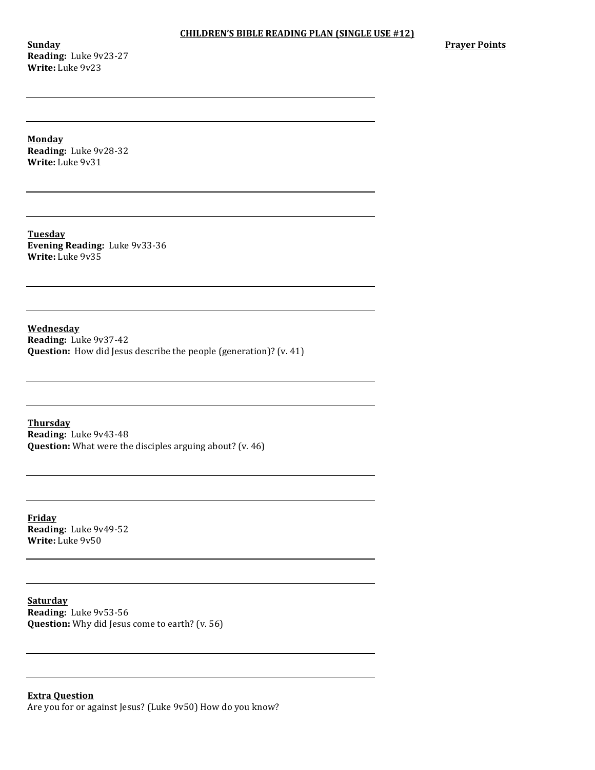**Sunday Reading:** Luke 9v23-27 **Write:** Luke 9v23

**Prayer Points** 

**Monday**

**Reading:** Luke 9v28-32 **Write:** Luke 9v31

**Tuesday Evening Reading:** Luke 9v33-36 **Write:** Luke 9v35

**Wednesday Reading:** Luke 9v37-42 **Question:** How did Jesus describe the people (generation)? (v. 41)

**Thursday Reading:** Luke 9v43-48 **Question:** What were the disciples arguing about? (v. 46)

**Friday Reading:** Luke 9v49-52 **Write:** Luke  $9v50$ 

**Saturday Reading:** Luke 9v53-56 **Question:** Why did Jesus come to earth? (v. 56)

#### **Extra Question** Are you for or against Jesus? (Luke 9v50) How do you know?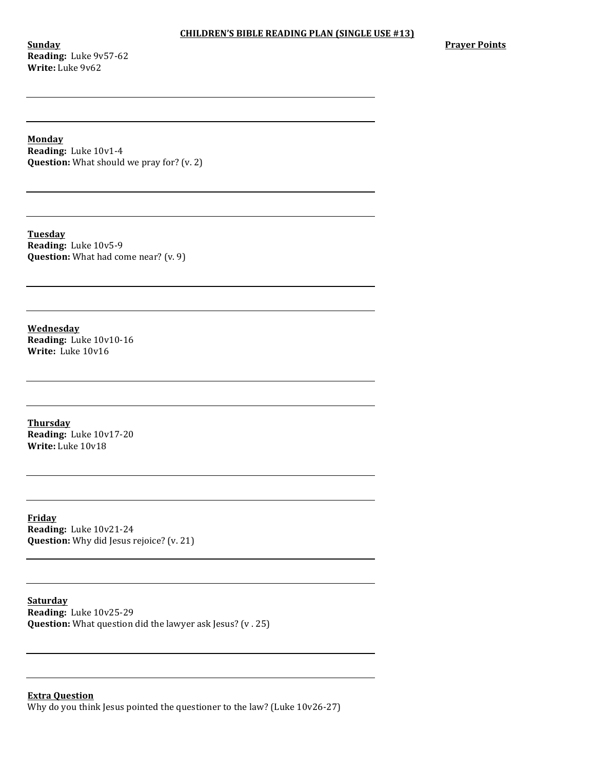**Sunday Reading:** Luke 9v57-62 **Write:** Luke 9v62

**Prayer Points** 

**Monday**

**Reading:** Luke 10v1-4 **Question:** What should we pray for? (v. 2)

**Tuesday Reading:** Luke 10v5-9 **Question:** What had come near? (v. 9)

**Wednesday Reading:** Luke 10v10-16 **Write:** Luke 10v16

**Thursday Reading:** Luke 10v17-20 **Write:** Luke 10v18

**Friday Reading:** Luke 10v21-24 **Question:** Why did Jesus rejoice? (v. 21)

**Saturday Reading:** Luke 10v25-29 **Question:** What question did the lawyer ask Jesus? (v. 25)

### **Extra Question** Why do you think Jesus pointed the questioner to the law? (Luke  $10v26-27$ )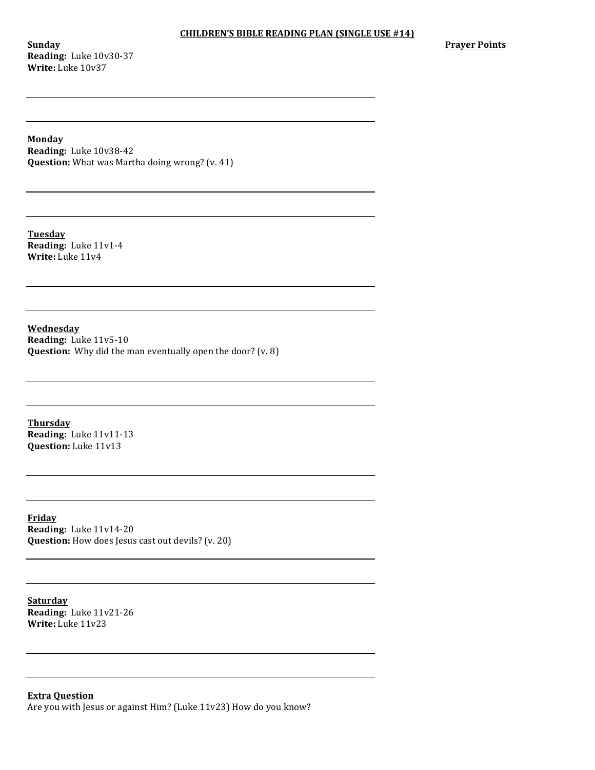**Sunday Reading:** Luke 10v30-37 **Write:** Luke 10v37

**Prayer Points** 

**Monday**

**Reading:** Luke 10v38-42 **Question:** What was Martha doing wrong? (v. 41)

**Tuesday Reading:** Luke 11v1-4 **Write:** Luke 11v4

**Wednesday Reading:** Luke 11v5-10 **Question:** Why did the man eventually open the door? (v. 8)

**Thursday Reading:** Luke 11v11-13 **Question:** Luke 11v13

**Friday Reading:** Luke 11v14-20 **Question:** How does Jesus cast out devils? (v. 20)

**Saturday Reading:** Luke 11v21-26 **Write:** Luke 11v23

**Extra Question**

Are you with Jesus or against Him? (Luke 11v23) How do you know?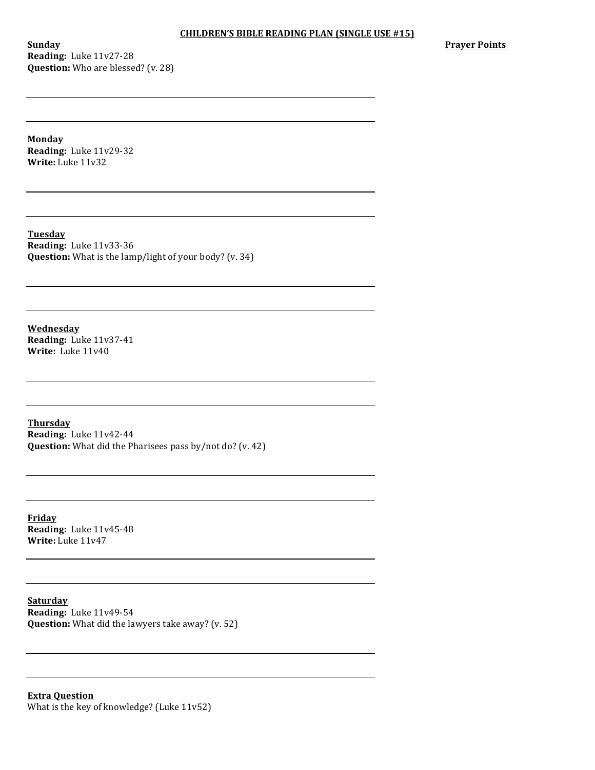## CHILDREN'S BIBLE READING PLAN (SINGLE USE #15)

**Sunday Reading:** Luke 11v27-28 **Question:** Who are blessed? (v. 28) **Prayer Points** 

**Monday Reading:** Luke 11v29-32 **Write:** Luke 11v32

**Tuesday Reading:** Luke 11v33-36 **Question:** What is the lamp/light of your body? (v. 34)

**Wednesday Reading:** Luke 11v37-41 **Write:** Luke 11v40

**Thursday Reading:** Luke 11v42-44 **Question:** What did the Pharisees pass by/not do? (v. 42)

**Friday Reading:** Luke 11v45-48 **Write:** Luke 11v47

**Saturday Reading:** Luke 11v49-54 **Question:** What did the lawyers take away? (v. 52)

**Extra Question** What is the key of knowledge? (Luke  $11v52$ )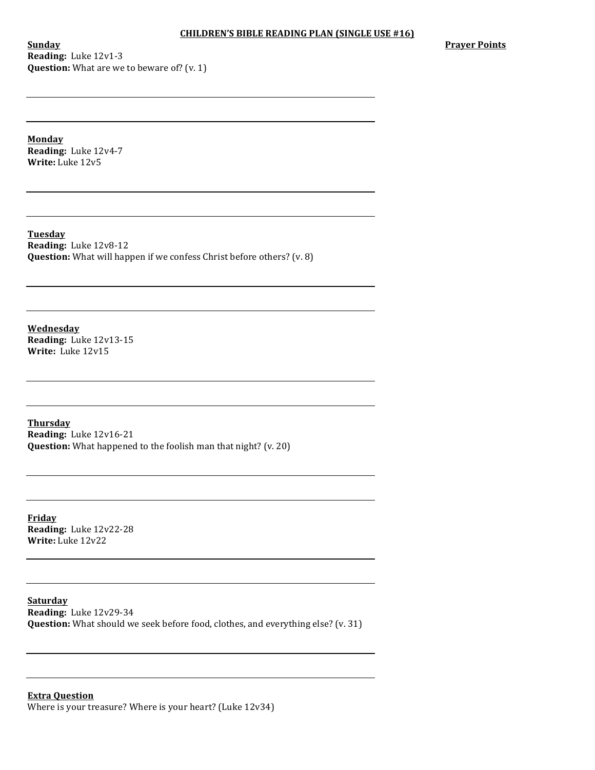## CHILDREN'S BIBLE READING PLAN (SINGLE USE #16)

**Sunday Reading:** Luke 12v1-3 **Question:** What are we to beware of? (v. 1) **Prayer Points** 

**Monday Reading:** Luke 12v4-7 **Write:** Luke 12v5

**Tuesday Reading:** Luke 12v8-12 **Question:** What will happen if we confess Christ before others? (v. 8)

**Wednesday Reading:** Luke 12v13-15 **Write:** Luke 12v15

**Thursday Reading:** Luke 12v16-21 **Question:** What happened to the foolish man that night? (v. 20)

**Friday Reading:** Luke 12v22-28 **Write:** Luke 12v22

**Saturday Reading:** Luke 12v29-34 **Question:** What should we seek before food, clothes, and everything else? (v. 31)

## **Extra Question** Where is your treasure? Where is your heart? (Luke 12v34)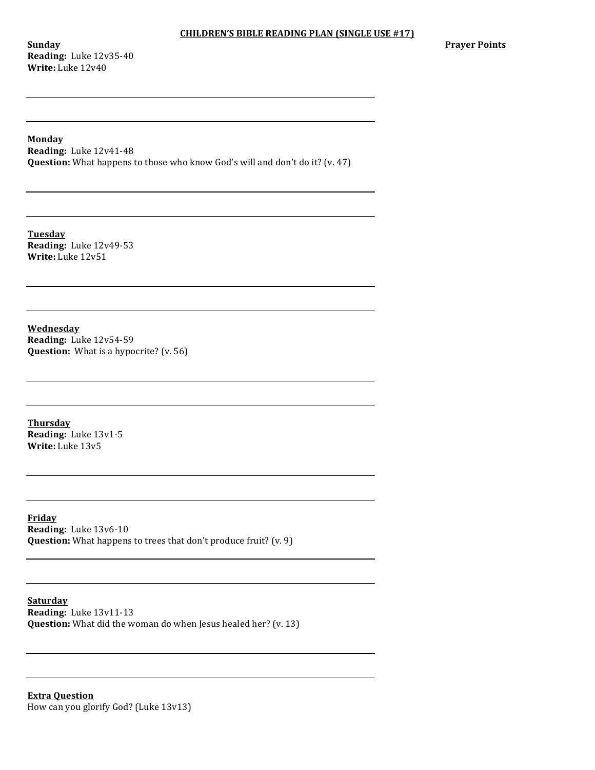**Sunday Reading:** Luke 12v35-40 **Write:** Luke 12v40

### **Monday**

**Reading:** Luke 12v41-48 **Question:** What happens to those who know God's will and don't do it? (v. 47)

**Tuesday Reading:** Luke 12v49-53 **Write:** Luke 12v51

**Wednesday Reading:** Luke 12v54-59 **Question:** What is a hypocrite? (v. 56)

**Thursday Reading:** Luke 13v1-5 **Write:** Luke 13v5

**Friday Reading:** Luke 13v6-10 **Question:** What happens to trees that don't produce fruit? (v. 9)

**Saturday Reading:** Luke 13v11-13 **Question:** What did the woman do when Jesus healed her? (v. 13)

**Extra Question** How can you glorify God? (Luke 13v13)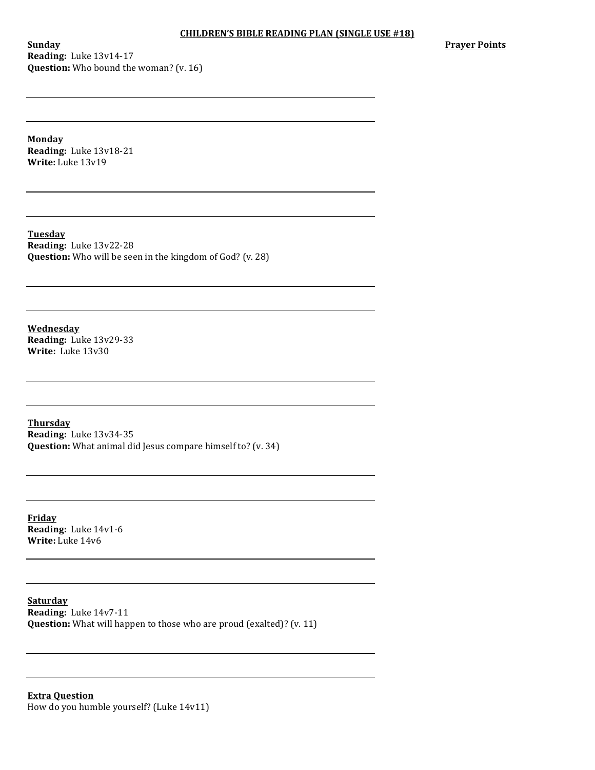## CHILDREN'S BIBLE READING PLAN (SINGLE USE #18)

**Sunday Reading:** Luke 13v14-17 **Question:** Who bound the woman? (v. 16) **Prayer Points** 

**Monday Reading:** Luke 13v18-21 **Write:** Luke 13v19

**Tuesday Reading:** Luke 13v22-28 **Question:** Who will be seen in the kingdom of God? (v. 28)

**Wednesday Reading:** Luke 13v29-33 **Write:** Luke 13v30

**Thursday Reading:** Luke 13v34-35 **Question:** What animal did Jesus compare himself to? (v. 34)

**Friday Reading:** Luke 14v1-6 **Write:** Luke 14v6

**Saturday Reading:** Luke 14v7-11 **Question:** What will happen to those who are proud (exalted)? (v. 11)

**Extra Question** How do you humble yourself? (Luke 14v11)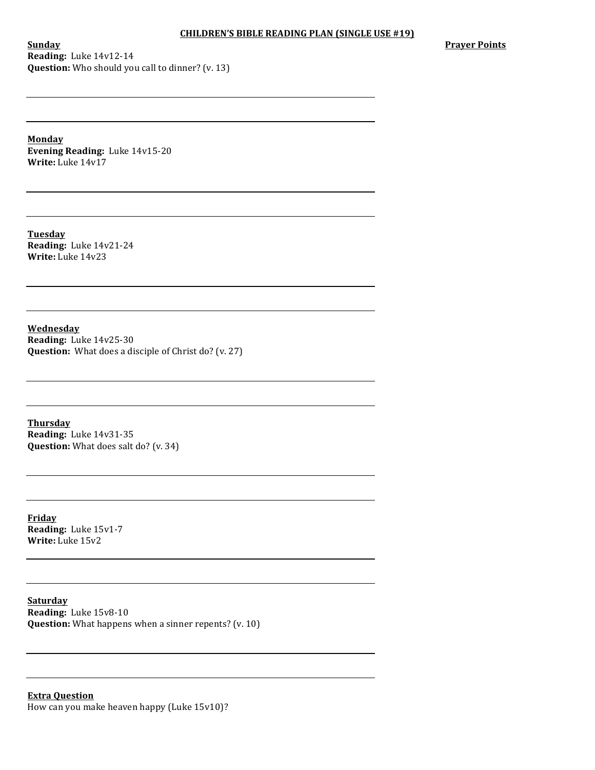## CHILDREN'S BIBLE READING PLAN (SINGLE USE #19)

**Sunday Reading:** Luke 14v12-14 **Question:** Who should you call to dinner? (v. 13) **Prayer Points** 

**Monday Evening Reading:** Luke 14v15-20 **Write:** Luke 14v17

**Tuesday Reading:** Luke 14v21-24 **Write:** Luke 14v23

**Wednesday Reading:** Luke 14v25-30 **Question:** What does a disciple of Christ do? (v. 27)

**Thursday Reading:** Luke 14v31-35 **Question:** What does salt do? (v. 34)

**Friday Reading:** Luke 15v1-7 **Write:** Luke 15v2

**Saturday Reading:** Luke 15v8-10 **Question:** What happens when a sinner repents? (v. 10)

**Extra Question** How can you make heaven happy (Luke 15v10)?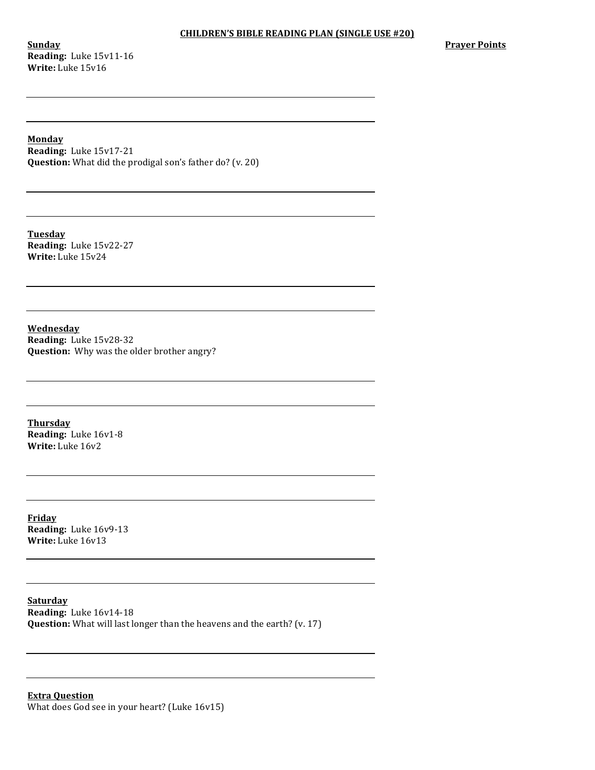**Sunday Reading:** Luke 15v11-16 **Write:** Luke 15v16

**Prayer Points** 

## **Monday**

**Reading:** Luke 15v17-21 **Question:** What did the prodigal son's father do? (v. 20)

**Tuesday Reading:** Luke 15v22-27 **Write:** Luke 15v24

**Wednesday Reading:** Luke 15v28-32 **Question:** Why was the older brother angry?

**Thursday Reading:** Luke 16v1-8 **Write:** Luke 16v2

**Friday Reading:** Luke 16v9-13 **Write:** Luke 16v13

**Saturday Reading:** Luke 16v14-18 **Question:** What will last longer than the heavens and the earth? (v. 17)

**Extra Question** What does God see in your heart? (Luke 16v15)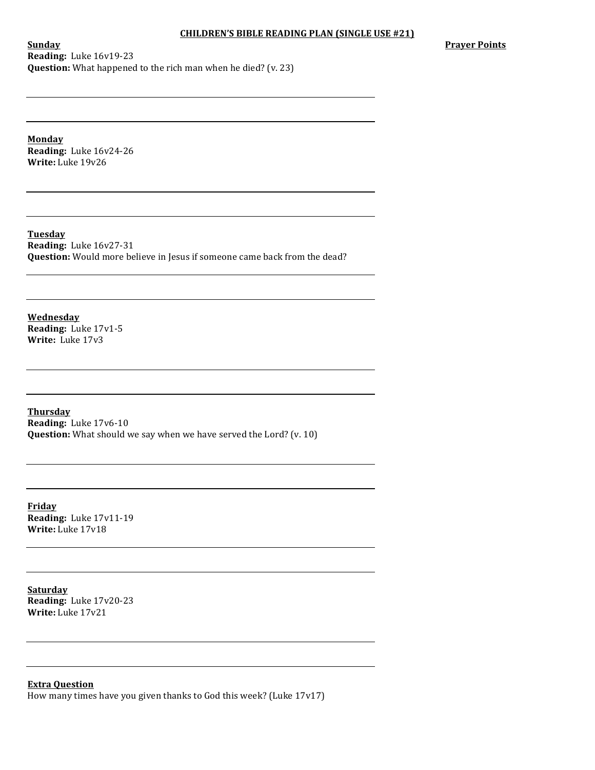## CHILDREN'S BIBLE READING PLAN (SINGLE USE #21)

**Prayer Points**

**Sunday Reading:** Luke 16v19-23 **Question:** What happened to the rich man when he died? (v. 23)

**Monday Reading:** Luke 16v24-26 **Write:** Luke 19v26

**Tuesday Reading:** Luke 16v27-31 **Question:** Would more believe in Jesus if someone came back from the dead?

**Wednesday Reading:** Luke 17v1-5 **Write:** Luke 17v3

**Thursday Reading:** Luke 17v6-10 **Question:** What should we say when we have served the Lord? (v. 10)

**Friday Reading:** Luke 17v11-19 **Write:** Luke 17v18

**Saturday Reading:** Luke 17v20-23 **Write:** Luke 17v21

**Extra Question** How many times have you given thanks to God this week? (Luke  $17v17$ )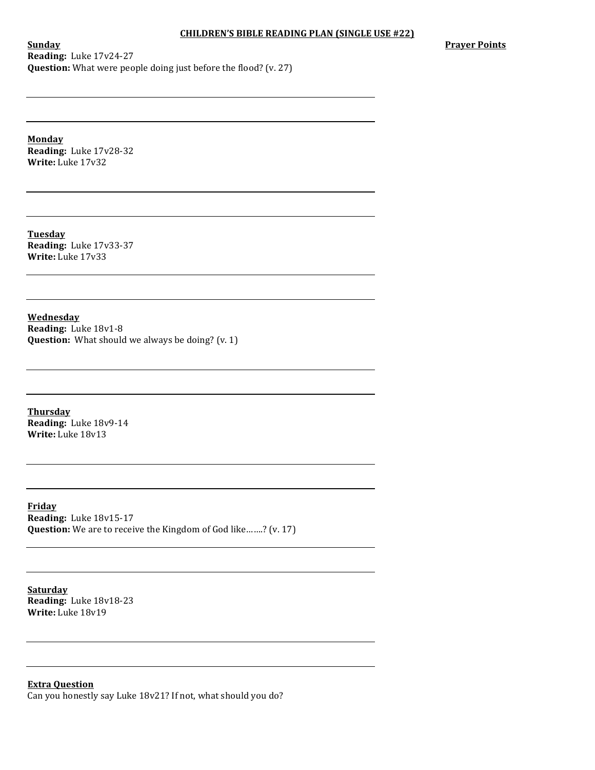## CHILDREN'S BIBLE READING PLAN (SINGLE USE #22)

**Prayer Points** 

**Sunday Reading:** Luke 17v24-27 **Question:** What were people doing just before the flood? (v. 27)

**Monday Reading:** Luke 17v28-32 **Write:** Luke 17v32

**Tuesday Reading:** Luke 17v33-37 **Write:** Luke 17v33

**Wednesday Reading:** Luke 18v1-8 **Question:** What should we always be doing? (v. 1)

**Thursday Reading:** Luke 18v9-14 **Write:** Luke 18v13

**Friday Reading:** Luke 18v15-17 **Question:** We are to receive the Kingdom of God like.......? (v. 17)

**Saturday Reading:** Luke 18v18-23 **Write:** Luke 18v19

**Extra Question** Can you honestly say Luke 18v21? If not, what should you do?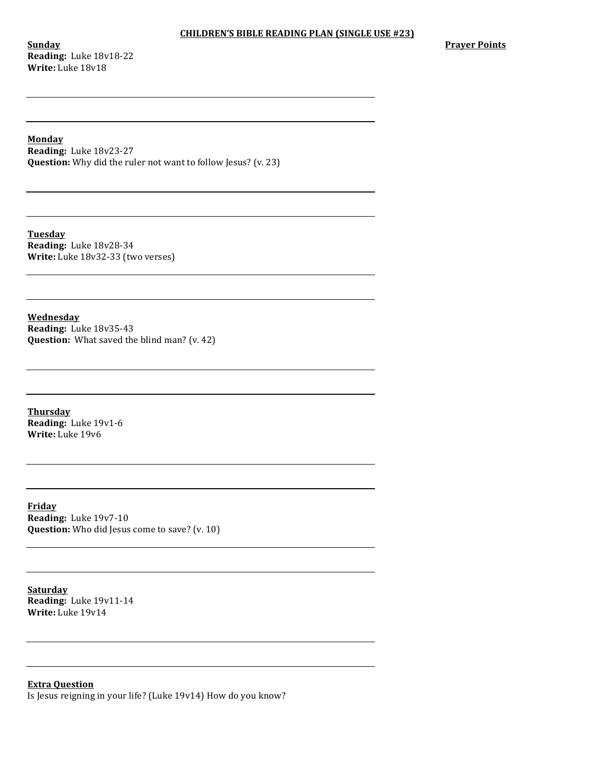**Sunday Reading:** Luke 18v18-22 **Write:** Luke 18v18

### **Monday**

**Reading:** Luke 18v23-27 **Question:** Why did the ruler not want to follow Jesus? (v. 23)

**Tuesday Reading:** Luke 18v28-34 **Write:** Luke 18v32-33 (two verses)

**Wednesday Reading:** Luke 18v35-43 **Question:** What saved the blind man? (v. 42)

**Thursday Reading:** Luke 19v1-6 **Write:** Luke 19v6

**Friday Reading:** Luke 19v7-10 **Question:** Who did Jesus come to save? (v. 10)

**Saturday Reading:** Luke 19v11-14 **Write:** Luke 19v14

**Extra Question**

Is Jesus reigning in your life? (Luke 19v14) How do you know?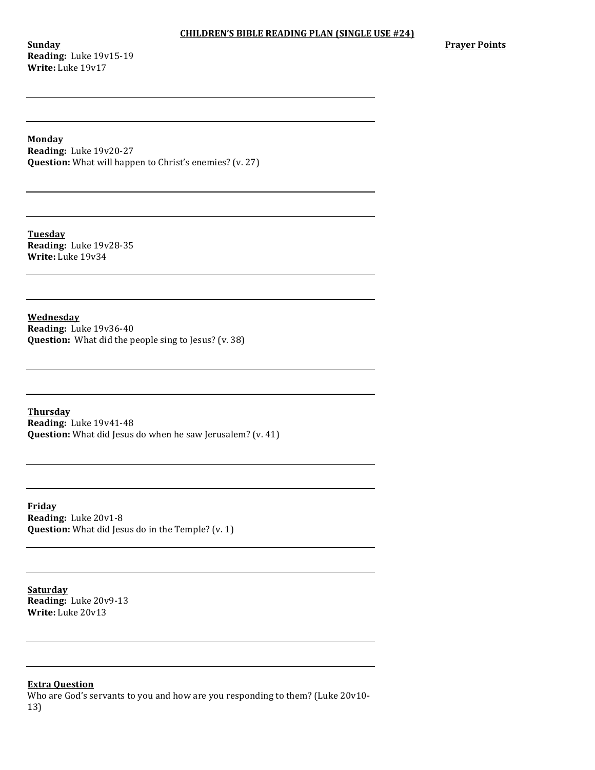**Sunday Reading:** Luke 19v15-19 **Write:** Luke 19v17

#### **Monday**

**Reading:** Luke 19v20-27 **Question:** What will happen to Christ's enemies? (v. 27)

**Tuesday Reading:** Luke 19v28-35 **Write:** Luke 19v34

**Wednesday Reading:** Luke 19v36-40 **Question:** What did the people sing to Jesus? (v. 38)

**Thursday Reading:** Luke 19v41-48 **Question:** What did Jesus do when he saw Jerusalem? (v. 41)

**Friday Reading:** Luke 20v1-8 **Question:** What did Jesus do in the Temple? (v. 1)

**Saturday Reading:** Luke 20v9-13 **Write:** Luke 20v13

## **Extra Question**

Who are God's servants to you and how are you responding to them? (Luke 20v10-13)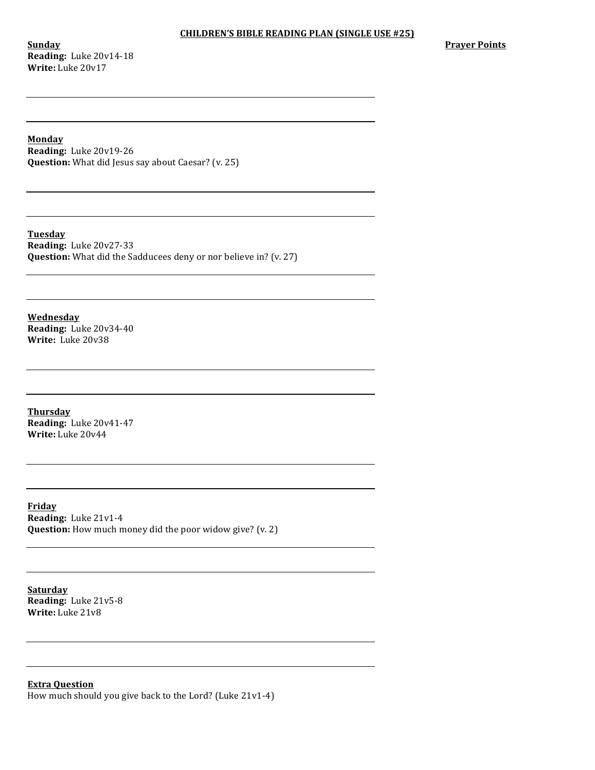**Sunday Reading:** Luke 20v14-18 **Write:** Luke 20v17

**Prayer Points** 

## **Monday**

**Reading:** Luke 20v19-26 **Question:** What did Jesus say about Caesar? (v. 25)

**Tuesday Reading:** Luke 20v27-33 **Question:** What did the Sadducees deny or nor believe in? (v. 27)

**Wednesday Reading:** Luke 20v34-40 **Write:** Luke 20v38

**Thursday Reading:** Luke 20v41-47 **Write:** Luke 20v44

**Friday Reading:** Luke 21v1-4 **Question:** How much money did the poor widow give? (v. 2)

**Saturday Reading:** Luke 21v5-8 **Write:** Luke 21v8

**Extra Question**

How much should you give back to the Lord? (Luke  $21v1-4$ )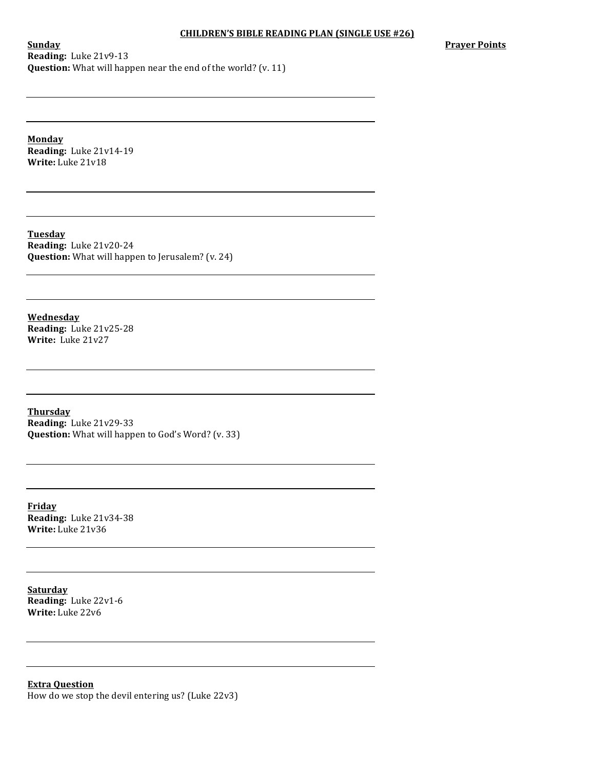## CHILDREN'S BIBLE READING PLAN (SINGLE USE #26)

**Prayer Points**

**Sunday Reading:** Luke 21v9-13 **Question:** What will happen near the end of the world? (v. 11)

**Monday Reading:** Luke 21v14-19 **Write:** Luke 21v18

**Tuesday Reading:** Luke 21v20-24 **Question:** What will happen to Jerusalem? (v. 24)

**Wednesday Reading:** Luke 21v25-28 **Write:** Luke 21v27

**Thursday Reading:** Luke 21v29-33 **Question:** What will happen to God's Word? (v. 33)

**Friday Reading:** Luke 21v34-38 **Write:** Luke 21v36

**Saturday Reading:** Luke 22v1-6 **Write:** Luke 22v6

**Extra Question** How do we stop the devil entering us? (Luke  $22v3$ )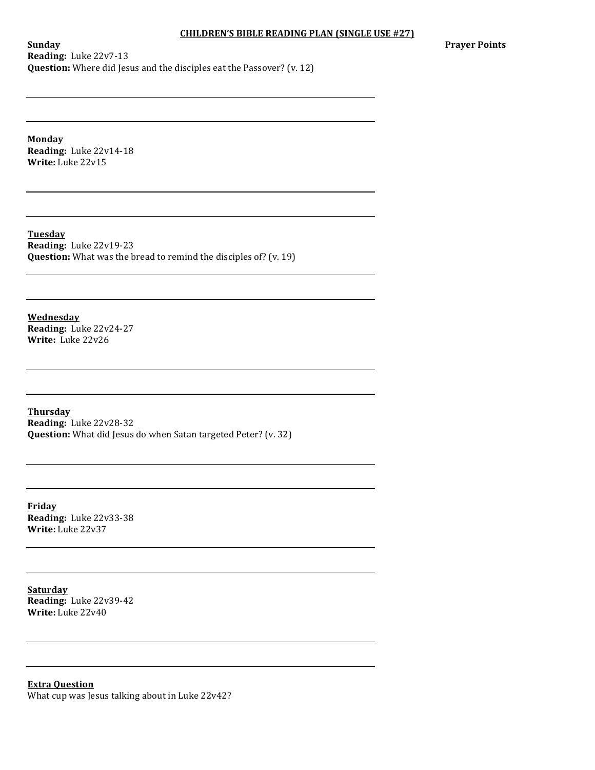## CHILDREN'S BIBLE READING PLAN (SINGLE USE #27)

**Prayer Points**

**Sunday Reading:** Luke 22v7-13 **Question:** Where did Jesus and the disciples eat the Passover? (v. 12)

**Monday Reading:** Luke 22v14-18 **Write:** Luke 22v15

**Tuesday Reading:** Luke 22v19-23 **Question:** What was the bread to remind the disciples of? (v. 19)

**Wednesday Reading:** Luke 22v24-27 **Write:** Luke 22v26

**Thursday Reading:** Luke 22v28-32 **Question:** What did Jesus do when Satan targeted Peter? (v. 32)

**Friday Reading:** Luke 22v33-38 **Write:** Luke 22v37

**Saturday Reading:** Luke 22v39-42 **Write:** Luke 22v40

**Extra Question** What cup was Jesus talking about in Luke 22v42?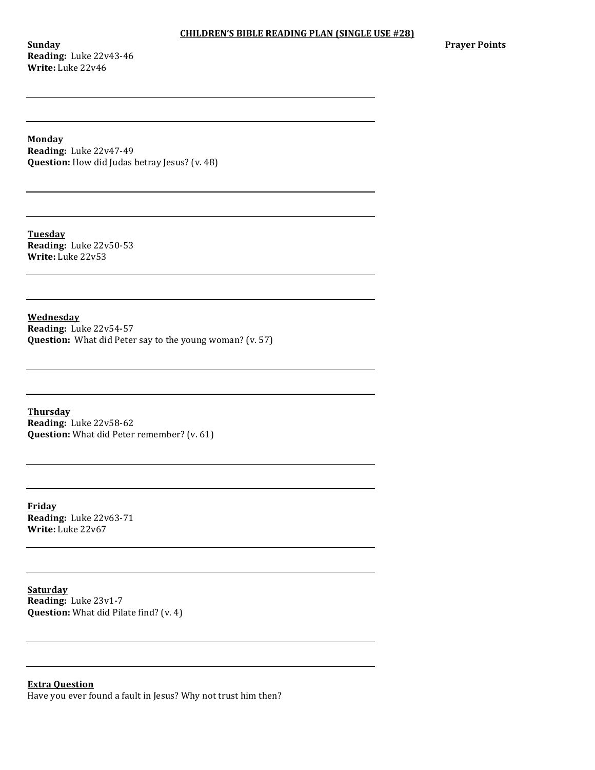**Sunday Reading:** Luke 22v43-46 **Write:** Luke 22v46

**Prayer Points** 

**Monday**

**Reading:** Luke 22v47-49 **Question:** How did Judas betray Jesus? (v. 48)

**Tuesday Reading:** Luke 22v50-53 **Write:** Luke 22v53

**Wednesday Reading:** Luke 22v54-57 **Question:** What did Peter say to the young woman? (v. 57)

**Thursday Reading:** Luke 22v58-62 **Question:** What did Peter remember? (v. 61)

**Friday Reading:** Luke 22v63-71 **Write:** Luke 22v67

**Saturday Reading:** Luke 23v1-7 **Question:** What did Pilate find? (v. 4)

**Extra Question** Have you ever found a fault in Jesus? Why not trust him then?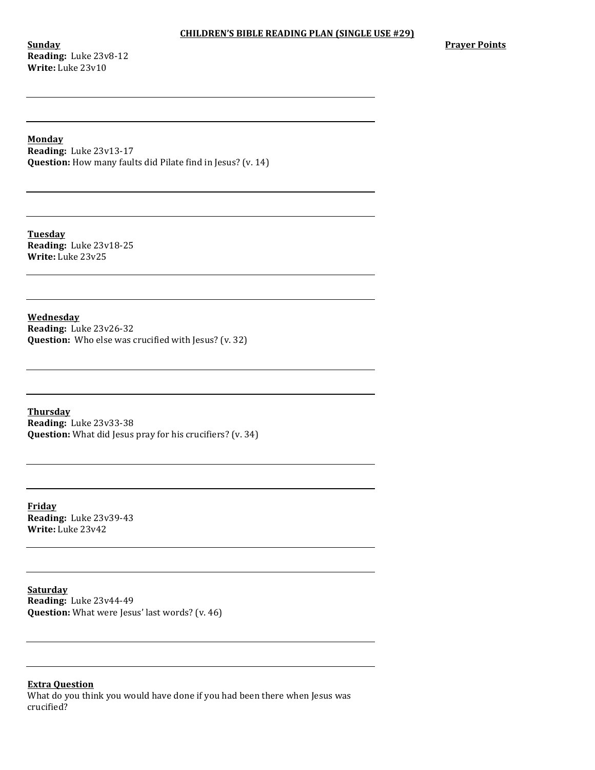**Sunday Reading:** Luke 23v8-12 **Write:** Luke 23v10

#### **Monday**

**Reading:** Luke 23v13-17 **Question:** How many faults did Pilate find in Jesus? (v. 14)

**Tuesday Reading:** Luke 23v18-25 **Write:** Luke 23v25

**Wednesday Reading:** Luke 23v26-32 **Question:** Who else was crucified with Jesus? (v. 32)

**Thursday Reading:** Luke 23v33-38 **Question:** What did Jesus pray for his crucifiers? (v. 34)

**Friday Reading:** Luke 23v39-43 **Write:** Luke 23v42

**Saturday Reading:** Luke 23v44-49 **Question:** What were Jesus' last words? (v. 46)

**Extra Question** What do you think you would have done if you had been there when Jesus was crucified?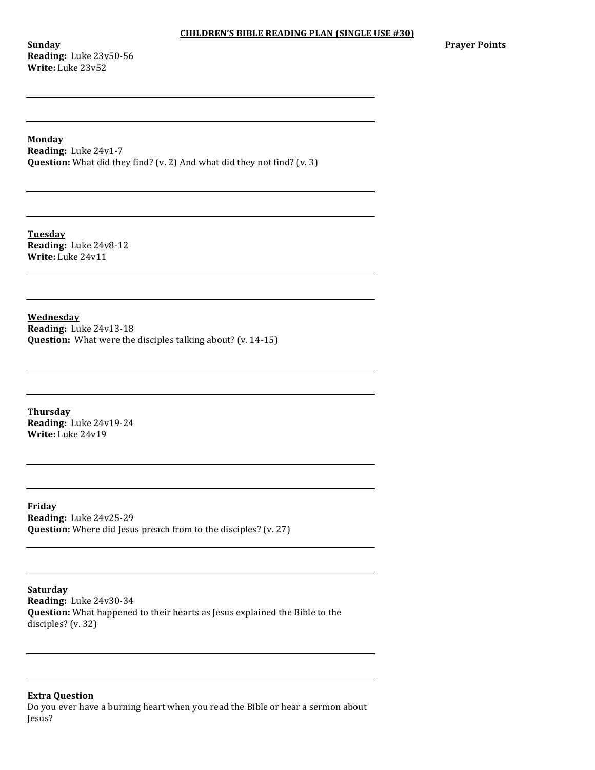**Sunday Reading:** Luke 23v50-56 **Write:** Luke 23v52

#### **Monday**

**Reading:** Luke 24v1-7 **Question:** What did they find? (v. 2) And what did they not find? (v. 3)

**Tuesday Reading:** Luke 24v8-12 **Write:** Luke 24v11

**Wednesday**

**Reading:** Luke 24v13-18 **Question:** What were the disciples talking about? (v. 14-15)

**Thursday Reading:** Luke 24v19-24 **Write:** Luke 24v19

**Friday Reading:** Luke 24v25-29 **Question:** Where did Jesus preach from to the disciples? (v. 27)

**Saturday**

**Reading:** Luke 24v30-34 **Question:** What happened to their hearts as Jesus explained the Bible to the disciples?  $(v. 32)$ 

### **Extra Question**

Do you ever have a burning heart when you read the Bible or hear a sermon about Jesus?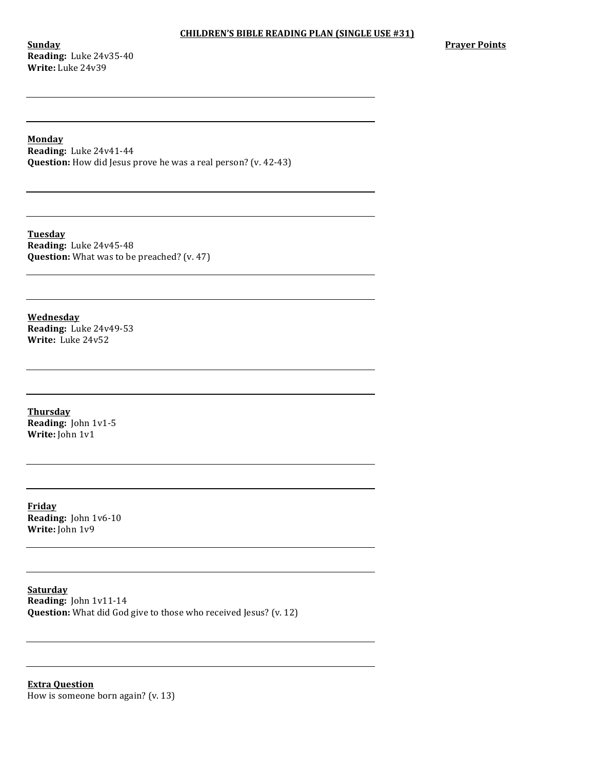**Sunday Reading:** Luke 24v35-40 **Write:** Luke 24v39

#### **Monday**

**Reading:** Luke 24v41-44 **Question:** How did Jesus prove he was a real person? (v. 42-43)

**Tuesday Reading:** Luke 24v45-48 **Question:** What was to be preached? (v. 47)

**Wednesday Reading:** Luke 24v49-53 **Write:** Luke 24v52

**Thursday Reading:** John 1v1-5 **Write:** John 1v1

**Friday Reading:** John 1v6-10 Write: John 1v9

**Saturday Reading:** John 1v11-14 **Question:** What did God give to those who received Jesus? (v. 12)

**Extra Question** How is someone born again?  $(v. 13)$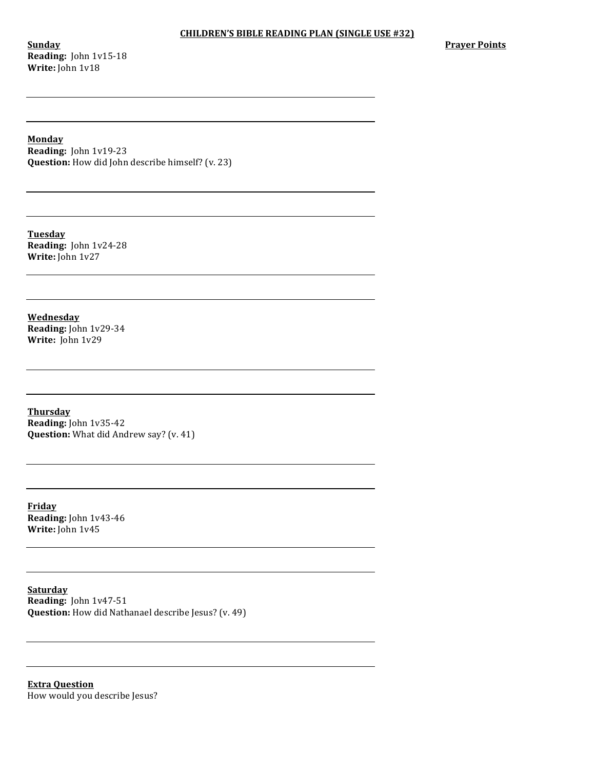**Sunday Reading:** John 1v15-18 **Write:** John 1v18

**Prayer Points** 

**Monday**

**Reading:** John 1v19-23 **Question:** How did John describe himself? (v. 23)

**Tuesday Reading:** John 1v24-28 Write: John 1v27

**Wednesday Reading:** John 1v29-34 **Write:** John 1v29

**Thursday Reading:** John 1v35-42 **Question:** What did Andrew say? (v. 41)

**Friday Reading:** John 1v43-46 Write: John 1v45

**Saturday Reading:** John 1v47-51 **Question:** How did Nathanael describe Jesus? (v. 49)

**Extra Question** How would you describe Jesus?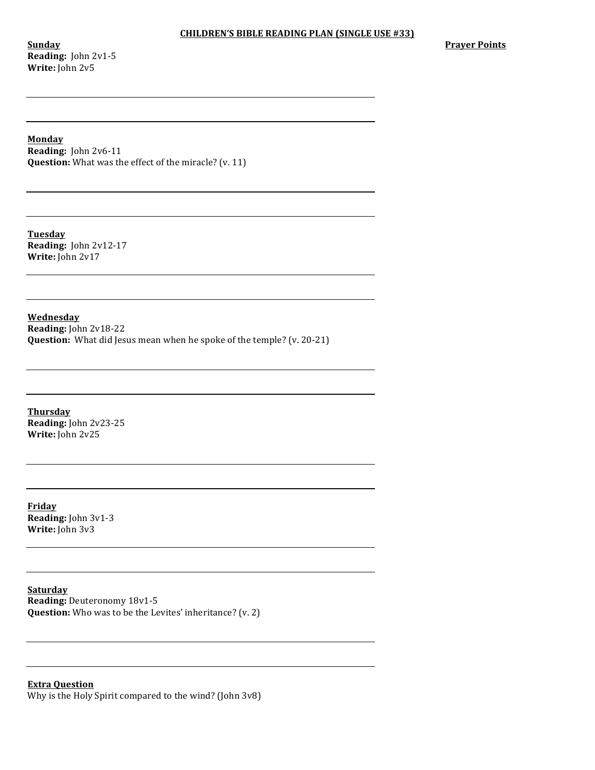**Sunday Reading:** John 2v1-5 **Write:** John 2v5

**Prayer Points** 

**Monday**

**Reading:** John 2v6-11 **Question:** What was the effect of the miracle? (v. 11)

**Tuesday Reading:** John 2v12-17 Write: John 2v17

**Wednesday Reading:** John 2v18-22 **Question:** What did Jesus mean when he spoke of the temple? (v. 20-21)

**Thursday Reading:** John 2v23-25 **Write:** John 2v25

**Friday Reading:** John 3v1-3 **Write:** John 3v3

**Saturday Reading:** Deuteronomy 18v1-5 **Question:** Who was to be the Levites' inheritance? (v. 2)

**Extra Question** Why is the Holy Spirit compared to the wind? (John  $3v8$ )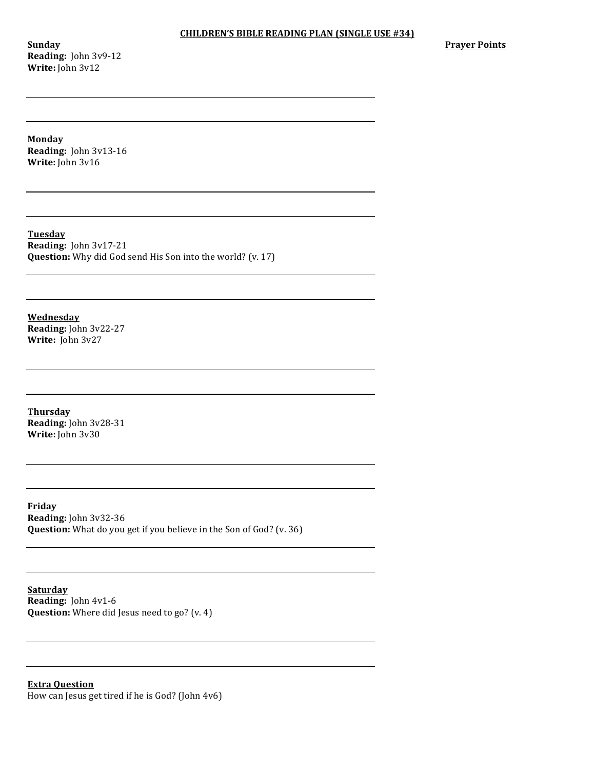**Sunday Reading:** John 3v9-12 **Write:** John 3v12

**Prayer Points** 

**Monday**

**Reading:** John 3v13-16 **Write:** John 3v16

**Tuesday Reading:** John 3v17-21 **Question:** Why did God send His Son into the world? (v. 17)

**Wednesday Reading:** John 3v22-27 **Write:** John 3v27

**Thursday Reading:** John 3v28-31 **Write:** John 3v30

**Friday Reading:** John 3v32-36 **Question:** What do you get if you believe in the Son of God? (v. 36)

**Saturday Reading:** John 4v1-6 **Question:** Where did Jesus need to go? (v. 4)

**Extra Question** How can Jesus get tired if he is God? (John 4v6)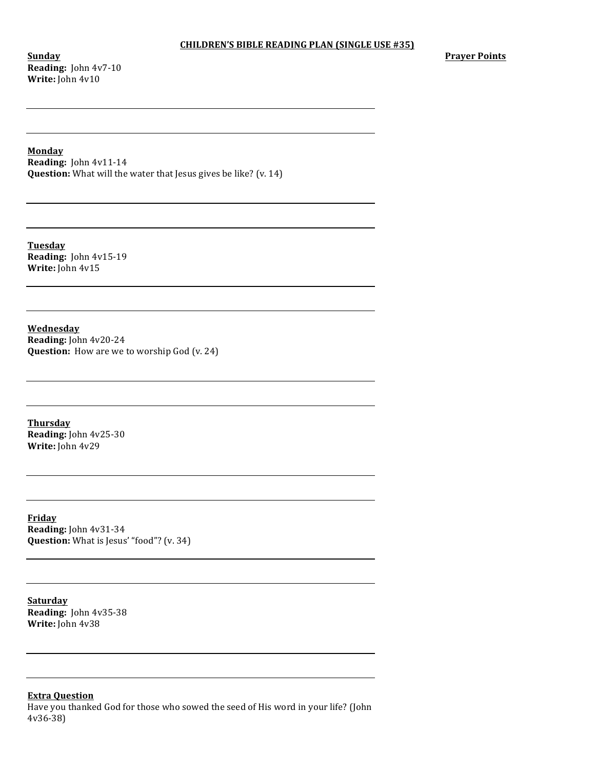**Sunday Reading:** John 4v7-10 **Write:** John 4v10

#### **Monday**

**Reading:** John 4v11-14 **Question:** What will the water that Jesus gives be like? (v. 14)

**Tuesday Reading:** John 4v15-19 **Write:** John 4v15

**Wednesday Reading:** John 4v20-24 **Question:** How are we to worship God (v. 24)

**Thursday Reading:** John 4v25-30 **Write:** John 4v29

**Friday Reading:** John 4v31-34 **Question:** What is Jesus' "food"? (v. 34)

**Saturday Reading:** John 4v35-38 **Write:** John 4v38

### **Extra Question**

Have you thanked God for those who sowed the seed of His word in your life? (John 4v36-38)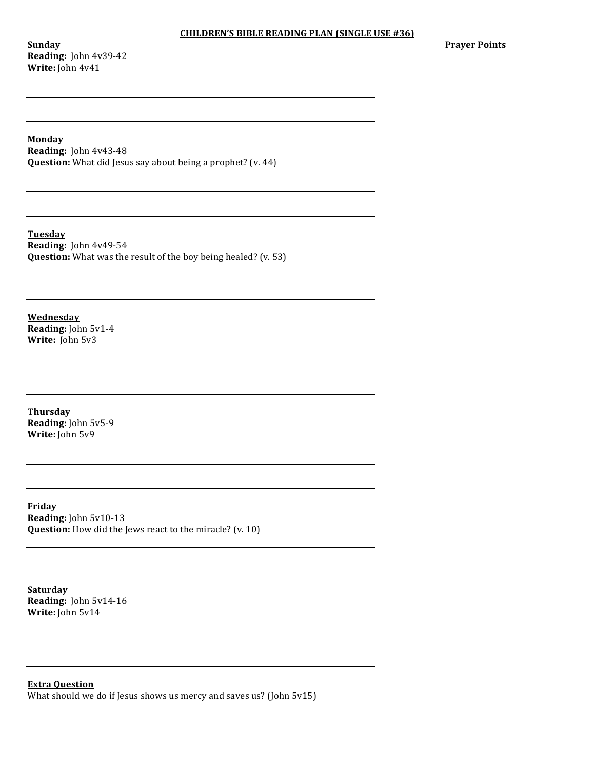**Sunday Reading:** John 4v39-42 **Write:** John 4v41

#### **Monday**

**Reading:** John 4v43-48 **Question:** What did Jesus say about being a prophet? (v. 44)

**Tuesday Reading:** John 4v49-54 **Question:** What was the result of the boy being healed? (v. 53)

**Wednesday Reading:** John 5v1-4 **Write:** John 5v3

**Thursday Reading:** John 5v5-9 **Write:** John 5v9

**Friday Reading:** John 5v10-13 **Question:** How did the Jews react to the miracle? (v. 10)

**Saturday Reading:** John 5v14-16 **Write:** John 5v14

**Extra Question** What should we do if Jesus shows us mercy and saves us? (John  $5v15$ )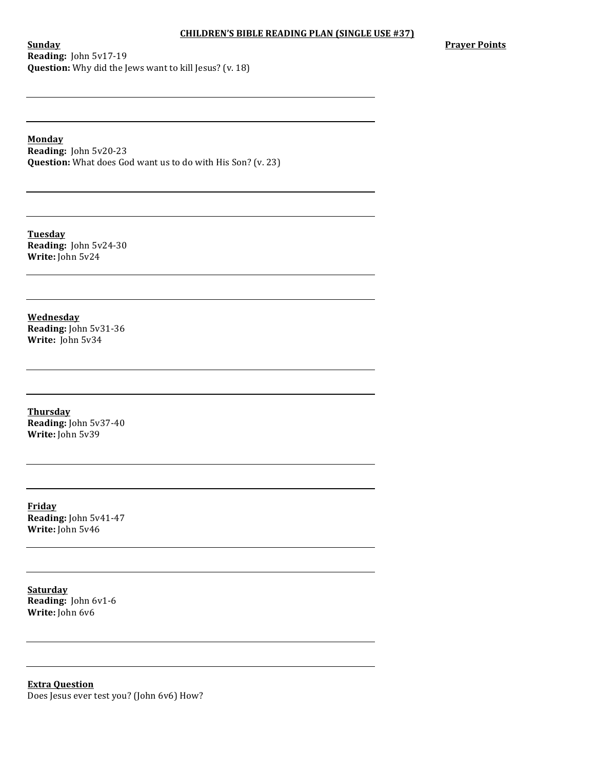## CHILDREN'S BIBLE READING PLAN (SINGLE USE #37)

**Sunday Reading: John 5v17-19 Question:** Why did the Jews want to kill Jesus? (v. 18) **Prayer Points** 

**Monday**

**Reading:** John 5v20-23 **Question:** What does God want us to do with His Son? (v. 23)

**Tuesday Reading:** John 5v24-30 Write: John 5v24

**Wednesday Reading:** John 5v31-36 **Write:** John 5v34

**Thursday Reading:** John 5v37-40 **Write:** John 5v39

**Friday Reading:** John 5v41-47 **Write:** John 5v46

**Saturday Reading:** John 6v1-6 **Write:** John 6v6

**Extra Question** Does Jesus ever test you? (John 6v6) How?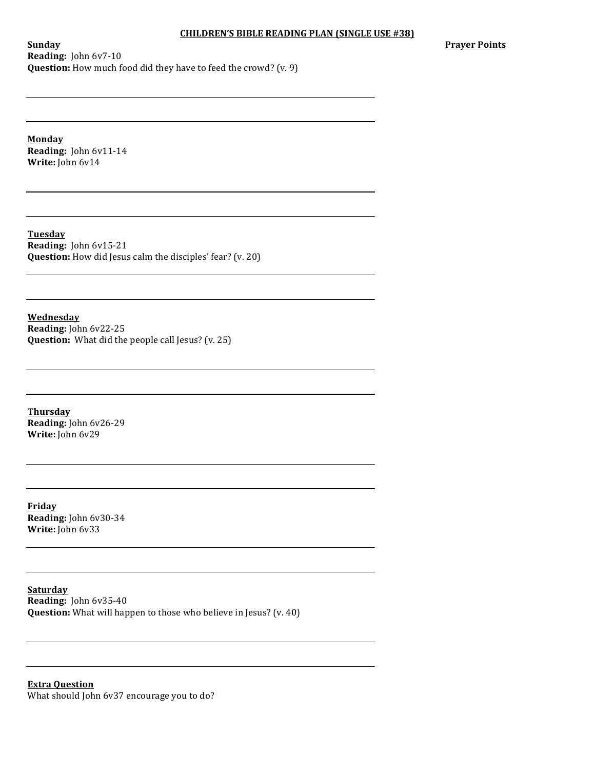## CHILDREN'S BIBLE READING PLAN (SINGLE USE #38)

**Prayer Points** 

**Sunday Reading:** John 6v7-10 **Question:** How much food did they have to feed the crowd? (v. 9)

**Monday Reading:** John 6v11-14 **Write:** John 6v14

**Tuesday Reading:** John 6v15-21 **Question:** How did Jesus calm the disciples' fear? (v. 20)

**Wednesday Reading:** John 6v22-25 **Question:** What did the people call Jesus? (v. 25)

**Thursday Reading:** John 6v26-29 **Write:** John 6v29

**Friday Reading:** John 6v30-34 **Write:** John 6v33

**Saturday Reading:** John 6v35-40 **Question:** What will happen to those who believe in Jesus? (v. 40)

**Extra Question** What should John 6v37 encourage you to do?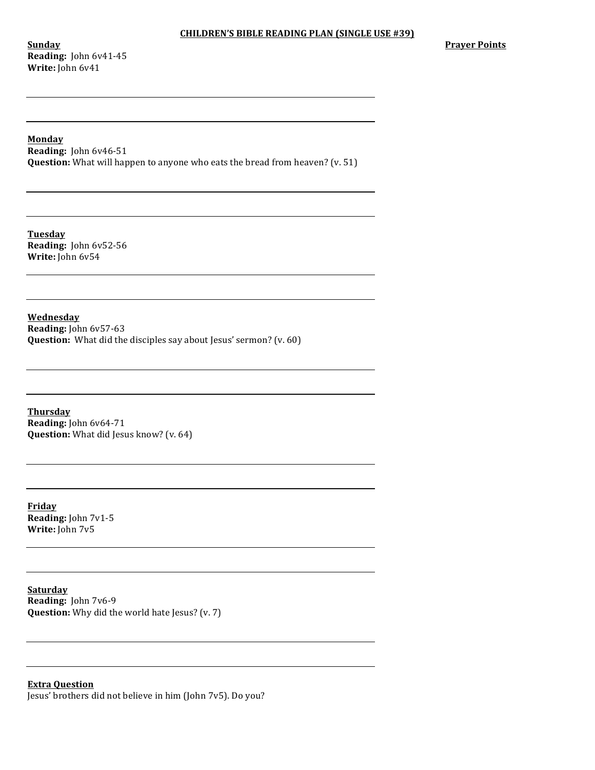**Sunday Reading:** John 6v41-45 **Write:** John 6v41

### **Monday**

**Reading:** John 6v46-51 **Question:** What will happen to anyone who eats the bread from heaven? (v. 51)

**Tuesday Reading:** John 6v52-56 Write: John 6v54

**Wednesday Reading:** John 6v57-63 **Question:** What did the disciples say about Jesus' sermon? (v. 60)

**Thursday Reading:** John 6v64-71 **Question:** What did Jesus know? (v. 64)

**Friday Reading:** John 7v1-5 **Write:** John 7v5

**Saturday Reading:** John 7v6-9 **Question:** Why did the world hate Jesus? (v. 7)

**Extra Question** Jesus' brothers did not believe in him (John 7v5). Do you?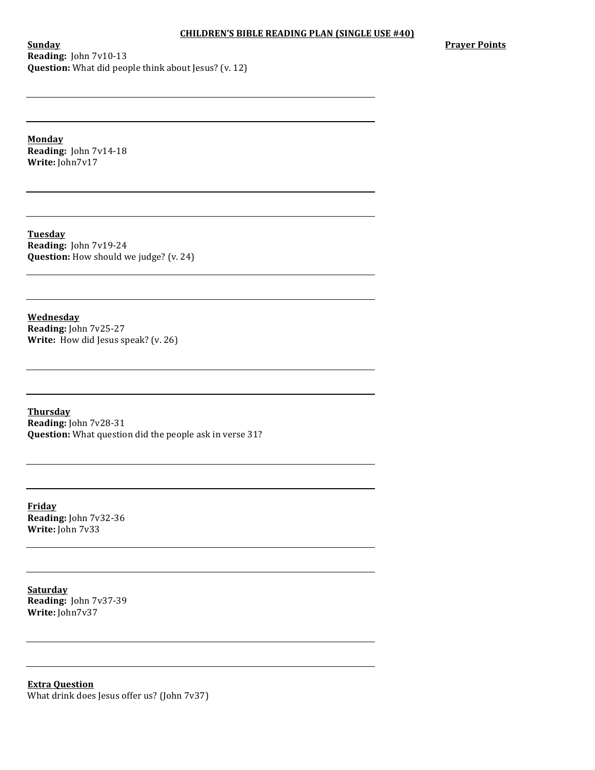## CHILDREN'S BIBLE READING PLAN (SINGLE USE #40)

**Sunday Reading:** John 7v10-13 **Question:** What did people think about Jesus? (v. 12) **Prayer Points** 

**Monday Reading:** John 7v14-18 Write: John7v17

**Tuesday Reading:** John 7v19-24 **Question:** How should we judge? (v. 24)

**Wednesday Reading:** John 7v25-27 **Write:** How did Jesus speak? (v. 26)

**Thursday Reading:** John 7v28-31 **Question:** What question did the people ask in verse 31?

**Friday Reading:** John 7v32-36 **Write:** John 7v33

**Saturday Reading:** John 7v37-39 Write: John7v37

**Extra Question** What drink does Jesus offer us? (John 7v37)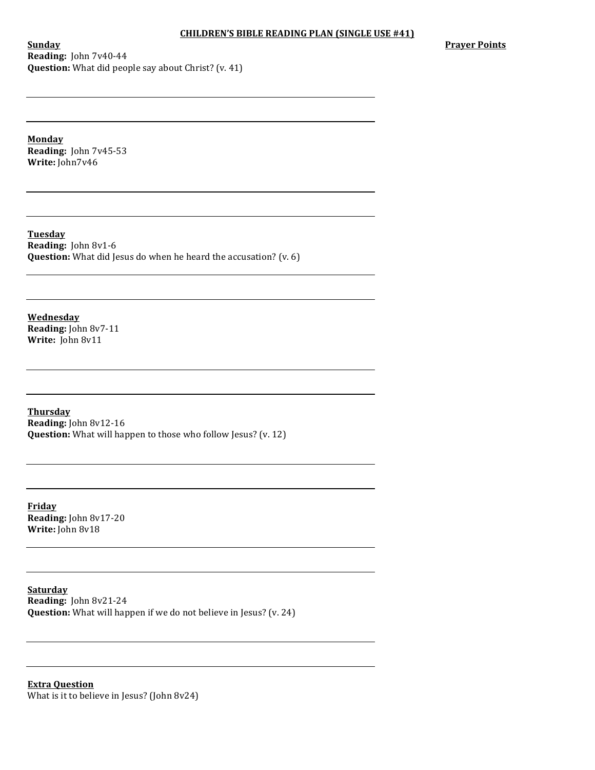## CHILDREN'S BIBLE READING PLAN (SINGLE USE #41)

**Prayer Points** 

**Sunday Reading:** John 7v40-44 **Question:** What did people say about Christ? (v. 41)

**Monday Reading:** John 7v45-53 **Write:** John7v46

**Tuesday Reading:** John 8v1-6 **Question:** What did Jesus do when he heard the accusation? (v. 6)

**Wednesday Reading:** John 8v7-11 Write: John 8v11

**Thursday Reading:** John 8v12-16 **Question:** What will happen to those who follow Jesus? (v. 12)

**Friday Reading:** John 8v17-20 **Write:** John 8v18

**Saturday Reading:** John 8v21-24 **Question:** What will happen if we do not believe in Jesus? (v. 24)

**Extra Question** What is it to believe in Jesus? (John  $8v24$ )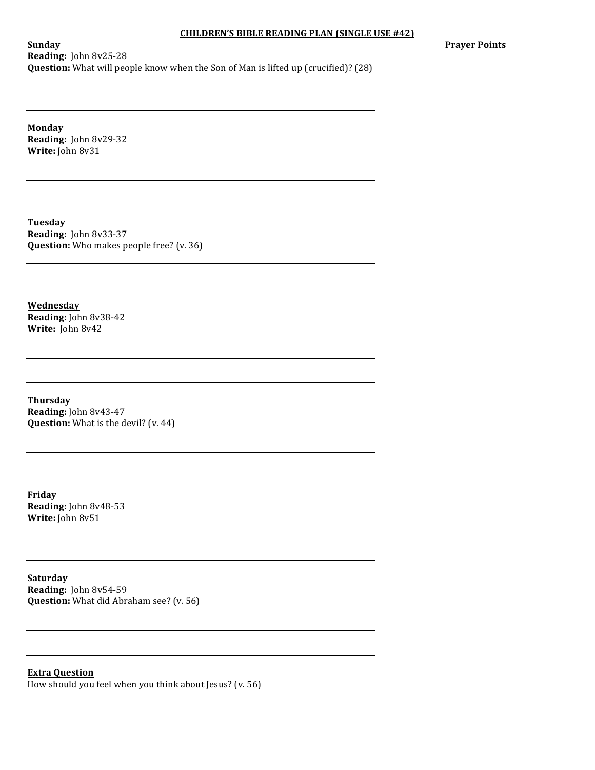## CHILDREN'S BIBLE READING PLAN (SINGLE USE #42)

**Sunday Reading:** John 8v25-28 **Question:** What will people know when the Son of Man is lifted up (crucified)? (28) **Prayer Points** 

**Monday Reading:** John 8v29-32 **Write:** John 8v31

**Tuesday Reading:** John 8v33-37 **Question:** Who makes people free? (v. 36)

**Wednesday Reading:** John 8v38-42 Write: John 8v42

**Thursday Reading:** John 8v43-47 **Question:** What is the devil? (v. 44)

**Friday Reading:** John 8v48-53 **Write:** John 8v51

**Saturday Reading:** John 8v54-59 **Question:** What did Abraham see? (v. 56)

**Extra Question** How should you feel when you think about Jesus? (v. 56)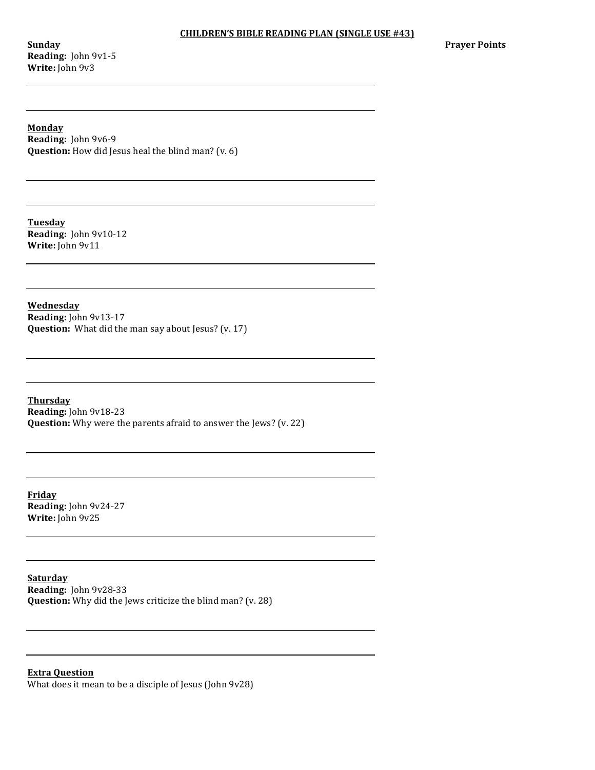**Sunday Reading:** John 9v1-5 **Write:** John 9v3

**Prayer Points** 

**Monday Reading:** John 9v6-9 **Question:** How did Jesus heal the blind man? (v. 6)

**Tuesday Reading:** John 9v10-12 **Write:** John 9v11

**Wednesday Reading:** John 9v13-17 **Question:** What did the man say about Jesus? (v. 17)

**Thursday Reading:** John 9v18-23 **Question:** Why were the parents afraid to answer the Jews? (v. 22)

**Friday Reading:** John 9v24-27 **Write:** John 9v25

**Saturday Reading:** John 9v28-33 **Question:** Why did the Jews criticize the blind man? (v. 28)

**Extra Question** What does it mean to be a disciple of Jesus (John 9v28)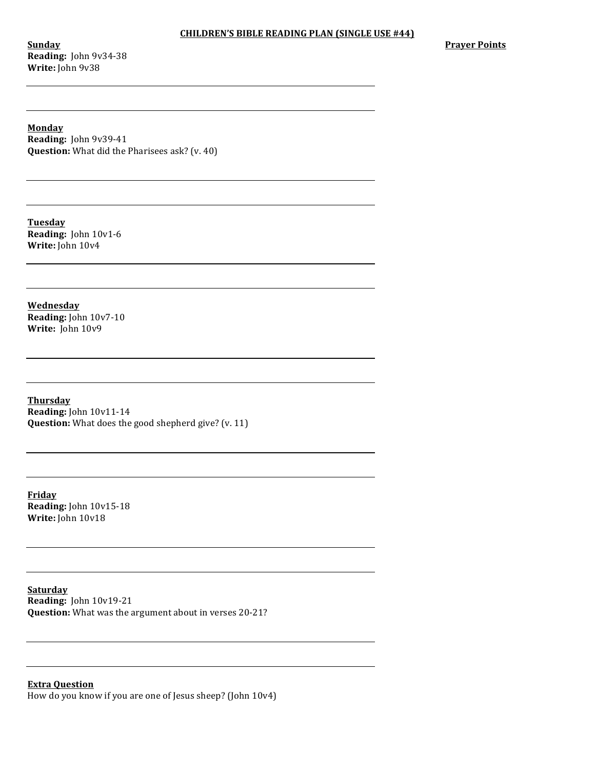## CHILDREN'S BIBLE READING PLAN (SINGLE USE #44)

**Sunday Reading:** John 9v34-38 **Write:** John 9v38

**Prayer Points** 

**Monday Reading:** John 9v39-41 **Question:** What did the Pharisees ask? (v. 40)

**Tuesday Reading:** John 10v1-6 **Write:** John 10v4

**Wednesday Reading:** John 10v7-10 Write: John 10v9

**Thursday Reading:** John 10v11-14 **Question:** What does the good shepherd give? (v. 11)

**Friday Reading:** John 10v15-18 **Write:** John  $10v18$ 

**Saturday Reading:** John 10v19-21 **Question:** What was the argument about in verses 20-21?

**Extra Question** How do you know if you are one of Jesus sheep? (John 10v4)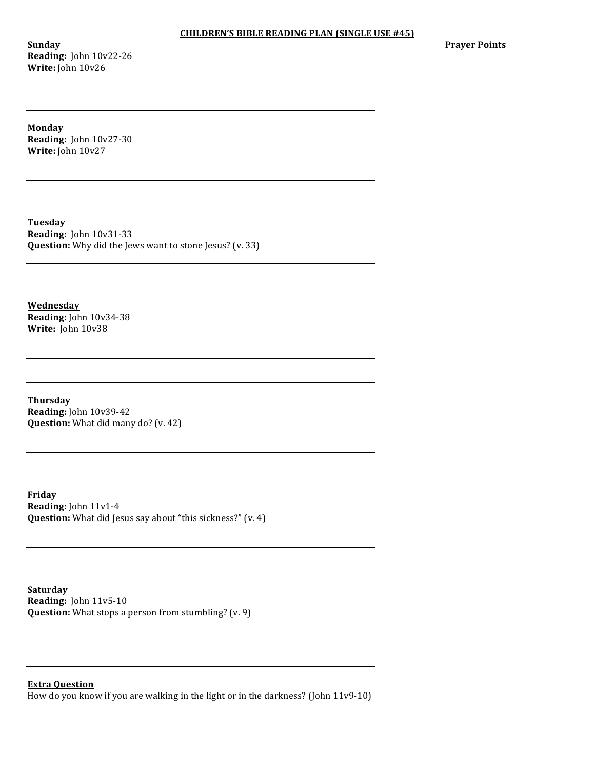**Sunday Reading:** John 10v22-26 **Write:** John 10v26

**Prayer Points** 

**Monday Reading:** John 10v27-30 **Write:** John 10v27

**Tuesday Reading:** John 10v31-33 **Question:** Why did the Jews want to stone Jesus? (v. 33)

**Wednesday Reading:** John 10v34-38 **Write:** John 10v38

**Thursday Reading:** John 10v39-42 **Question:** What did many do? (v. 42)

**Friday Reading:** John 11v1-4 **Question:** What did Jesus say about "this sickness?" (v. 4)

**Saturday Reading:** John 11v5-10 **Question:** What stops a person from stumbling? (v. 9)

**Extra Question**

How do you know if you are walking in the light or in the darkness? (John  $11v9-10$ )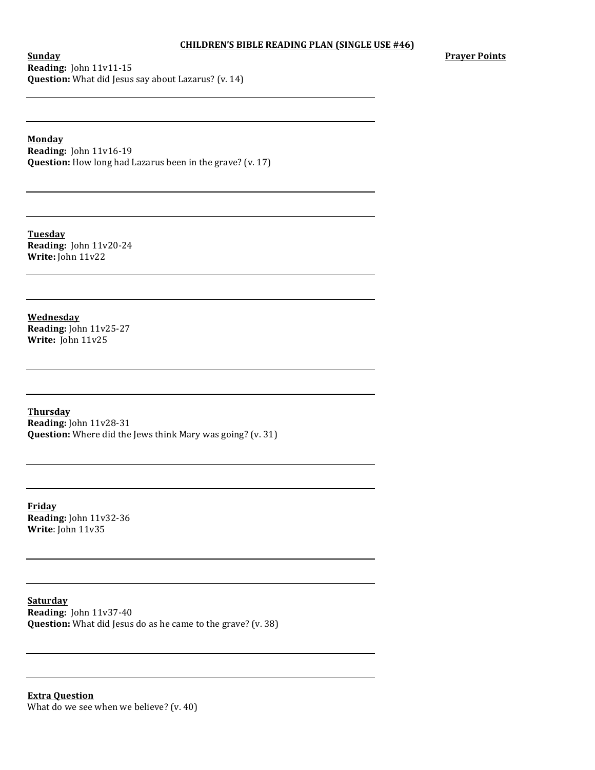### **CHILDREN'S BIBLE READING PLAN (SINGLE USE #46)**

**Sunday Reading:** John 11v11-15 **Question:** What did Jesus say about Lazarus? (v. 14)

**Prayer Points**

**Monday**

**Reading:** John 11v16-19 **Question:** How long had Lazarus been in the grave? (v. 17)

**Tuesday Reading:** John 11v20-24 **Write:** John 11v22

**Wednesday Reading:** John 11v25-27 **Write:** John 11v25

**Thursday Reading:** John 11v28-31 **Question:** Where did the Jews think Mary was going? (v. 31)

**Friday Reading:** John 11v32-36 **Write**: John 11v35

**Saturday Reading:** John 11v37-40 **Question:** What did Jesus do as he came to the grave? (v. 38)

**Extra Question** What do we see when we believe?  $(v. 40)$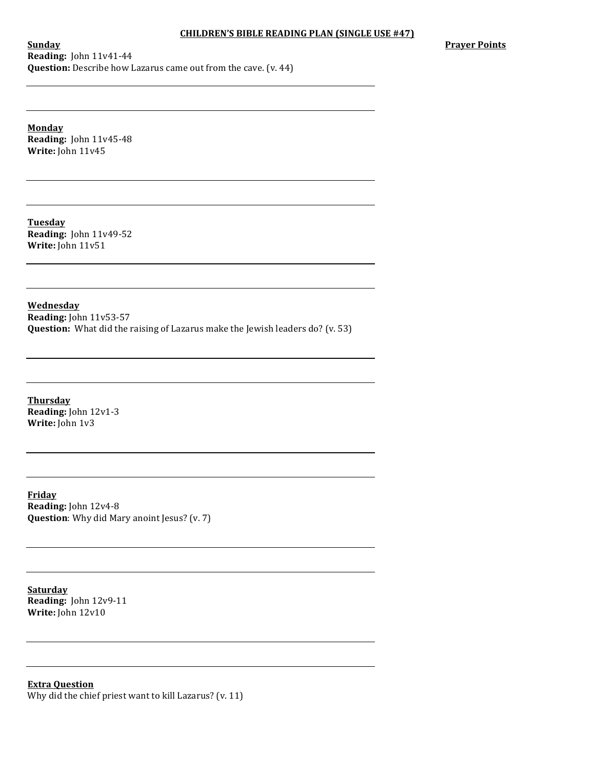## CHILDREN'S BIBLE READING PLAN (SINGLE USE #47)

**Prayer Points** 

**Sunday Reading:** John 11v41-44 **Question:** Describe how Lazarus came out from the cave. (v. 44)

**Monday Reading:** John 11v45-48 **Write:** John 11v45

**Tuesday Reading:** John 11v49-52 **Write:** John 11v51

**Wednesday Reading:** John 11v53-57 **Question:** What did the raising of Lazarus make the Jewish leaders do? (v. 53)

**Thursday Reading:** John 12v1-3 **Write:** John 1v3

**Friday Reading:** John 12v4-8 **Question**: Why did Mary anoint Jesus? (v. 7)

**Saturday Reading:** John 12v9-11 **Write:** John 12v10

**Extra Question** Why did the chief priest want to kill Lazarus?  $(v. 11)$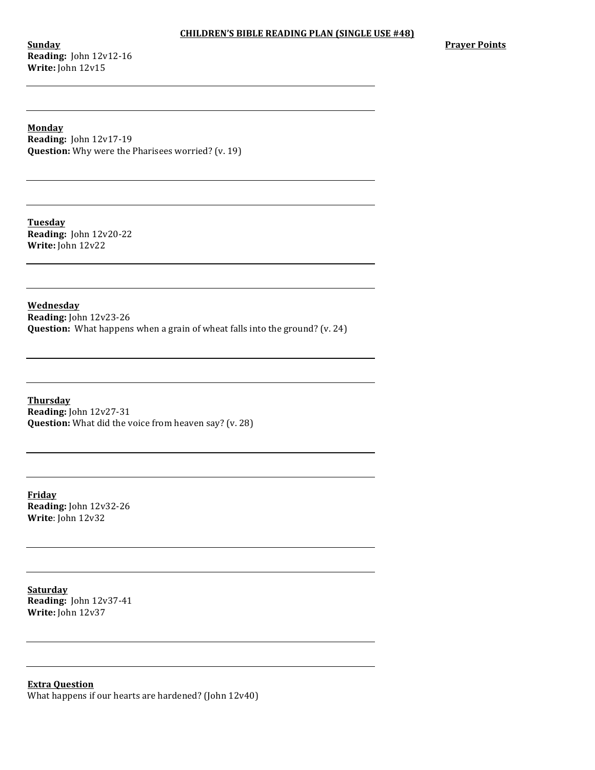**Sunday Reading:** John 12v12-16 **Write:** John 12v15

**Prayer Points** 

**Monday Reading:** John 12v17-19 **Question:** Why were the Pharisees worried? (v. 19)

**Tuesday Reading:** John 12v20-22 **Write:** John 12v22

**Wednesday Reading:** John 12v23-26 **Question:** What happens when a grain of wheat falls into the ground? (v. 24)

**Thursday Reading:** John 12v27-31 **Question:** What did the voice from heaven say? (v. 28)

**Friday Reading:** John 12v32-26 **Write**: John 12v32

**Saturday Reading:** John 12v37-41 **Write:** John 12v37

**Extra Question** What happens if our hearts are hardened? (John  $12v40$ )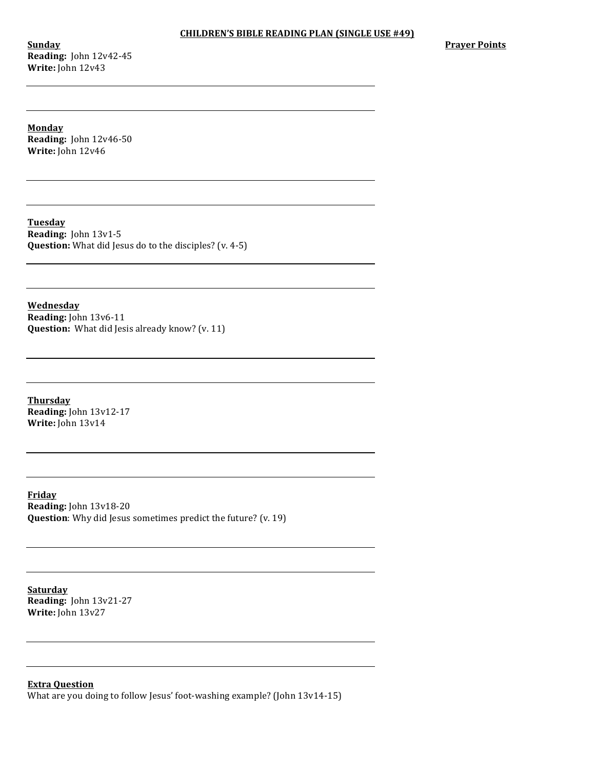**Sunday Reading:** John 12v42-45 **Write:** John 12v43

**Prayer Points**

**Monday Reading:** John 12v46-50 **Write:** John 12v46

**Tuesday Reading:** John 13v1-5 **Question:** What did Jesus do to the disciples? (v. 4-5)

**Wednesday Reading:** John 13v6-11 **Question:** What did Jesis already know? (v. 11)

**Thursday Reading:** John 13v12-17 **Write:** John 13v14

**Friday Reading:** John 13v18-20 **Question**: Why did Jesus sometimes predict the future? (v. 19)

**Saturday Reading:** John 13v21-27 **Write:** John 13v27

**Extra Question** What are you doing to follow Jesus' foot-washing example? (John  $13v14-15$ )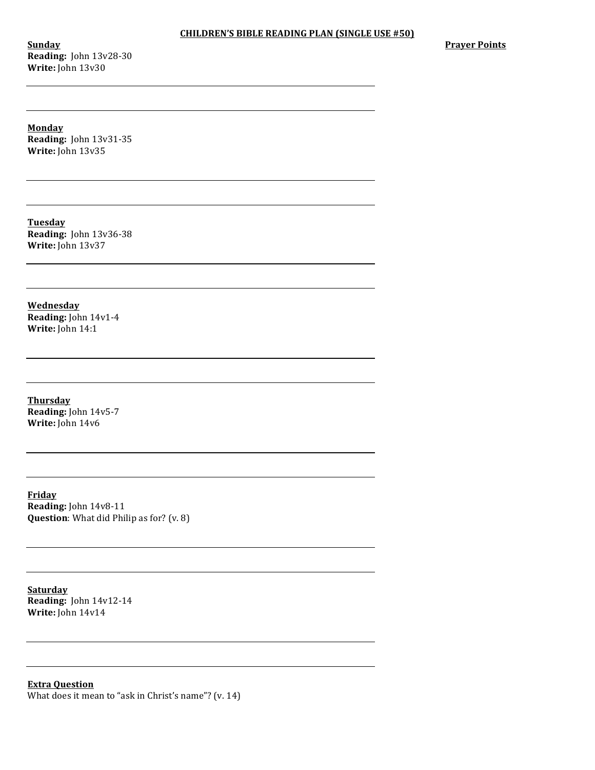**Sunday Reading:** John 13v28-30 **Write:** John 13v30

**Prayer Points** 

**Monday Reading:** John 13v31-35 **Write:** John 13v35

**Tuesday Reading:** John 13v36-38 **Write:** John 13v37

**Wednesday Reading:** John 14v1-4 **Write:** John 14:1

**Thursday Reading: John 14v5-7 Write:** John 14v6

**Friday Reading:** John 14v8-11 **Question**: What did Philip as for? (v. 8)

**Saturday Reading:** John 14v12-14 **Write:** John 14v14

**Extra Question** What does it mean to "ask in Christ's name"?  $(v. 14)$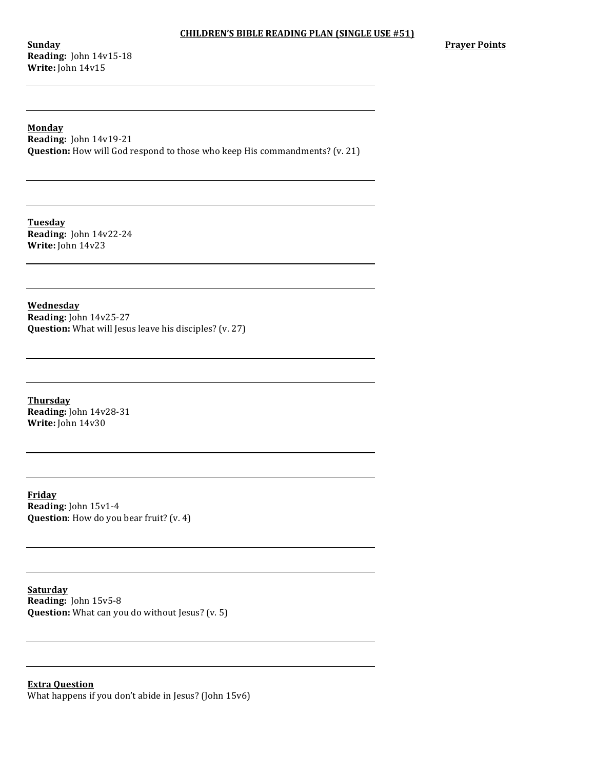**Sunday Reading:** John 14v15-18 **Write:** John 14v15

**Monday Reading:** John 14v19-21 **Question:** How will God respond to those who keep His commandments? (v. 21)

**Tuesday Reading:** John 14v22-24 **Write:** John 14v23

**Wednesday Reading:** John 14v25-27 **Question:** What will Jesus leave his disciples? (v. 27)

**Thursday Reading:** John 14v28-31 **Write:** John 14v30

**Friday Reading:** John 15v1-4 **Question**: How do you bear fruit? (v. 4)

**Saturday Reading:** John 15v5-8 **Question:** What can you do without Jesus? (v. 5)

**Extra Question** What happens if you don't abide in Jesus? (John  $15v6$ )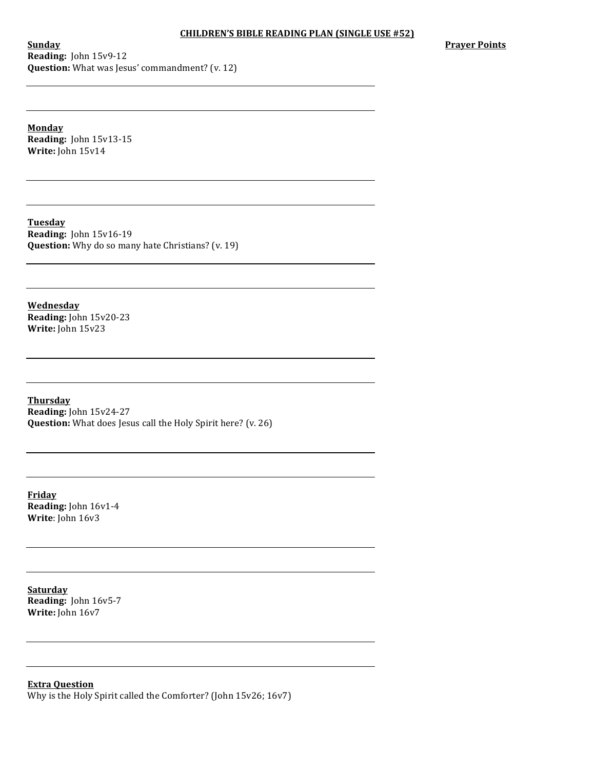## CHILDREN'S BIBLE READING PLAN (SINGLE USE #52)

**Sunday Reading:** John 15v9-12 **Question:** What was Jesus' commandment? (v. 12) **Prayer Points** 

**Monday Reading:** John 15v13-15 **Write:** John 15v14

**Tuesday Reading:** John 15v16-19 **Question:** Why do so many hate Christians? (v. 19)

**Wednesday Reading:** John 15v20-23 **Write:** John 15v23

**Thursday Reading:** John 15v24-27 **Question:** What does Jesus call the Holy Spirit here? (v. 26)

**Friday Reading:** John 16v1-4 **Write**: John 16v3

**Saturday Reading:** John 16v5-7 **Write:** John 16v7

**Extra Question** Why is the Holy Spirit called the Comforter? (John 15v26; 16v7)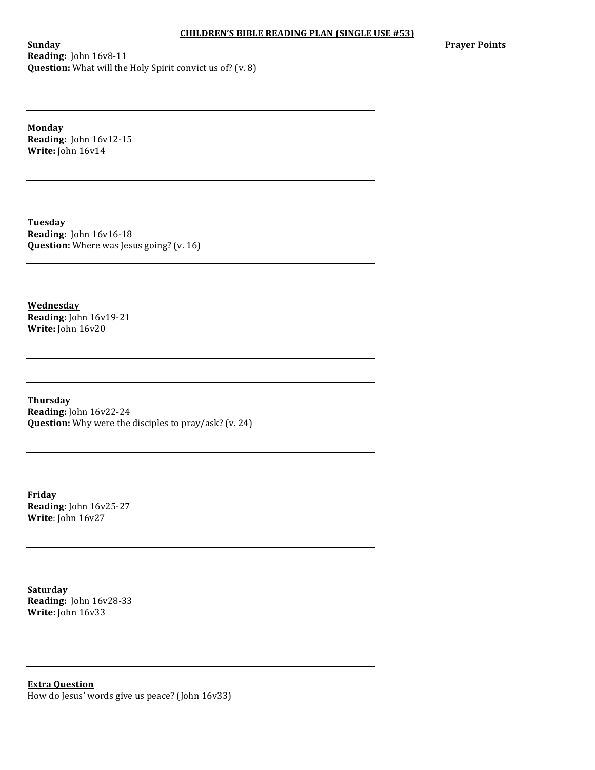## CHILDREN'S BIBLE READING PLAN (SINGLE USE #53)

**Prayer Points** 

**Sunday Reading:** John 16v8-11 **Question:** What will the Holy Spirit convict us of? (v. 8)

**Monday Reading:** John 16v12-15 **Write:** John 16v14

**Tuesday Reading:** John 16v16-18 **Question:** Where was Jesus going? (v. 16)

**Wednesday Reading:** John 16v19-21 **Write:** John 16v20

**Thursday Reading:** John 16v22-24 **Question:** Why were the disciples to pray/ask? (v. 24)

**Friday Reading:** John 16v25-27 **Write**: John 16v27

**Saturday Reading:** John 16v28-33 **Write:** John 16v33

**Extra Question** How do Jesus' words give us peace? (John 16v33)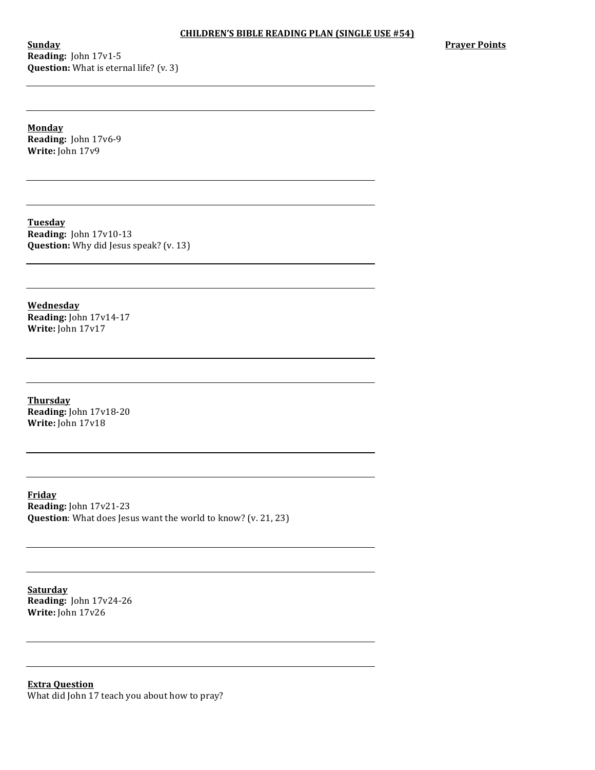## CHILDREN'S BIBLE READING PLAN (SINGLE USE #54)

**Sunday Reading:** John 17v1-5 **Question:** What is eternal life? (v. 3) **Prayer Points** 

**Monday Reading:** John 17v6-9 Write: John 17v9

**Tuesday Reading:** John 17v10-13 **Question:** Why did Jesus speak? (v. 13)

**Wednesday Reading:** John 17v14-17 **Write:** John 17v17

**Thursday Reading:** John 17v18-20 **Write:** John 17v18

**Friday Reading:** John 17v21-23 **Question**: What does Jesus want the world to know? (v. 21, 23)

**Saturday Reading:** John 17v24-26 **Write:** John 17v26

**Extra Question** What did John 17 teach you about how to pray?